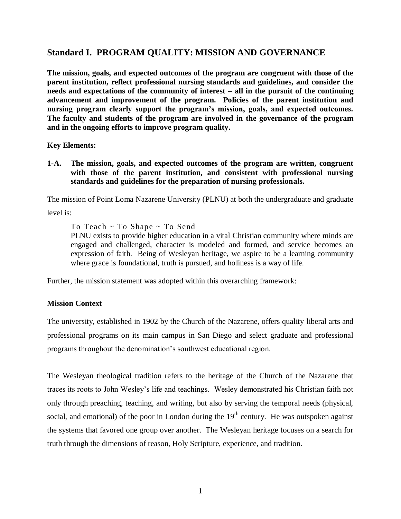# **Standard I. PROGRAM QUALITY: MISSION AND GOVERNANCE**

**The mission, goals, and expected outcomes of the program are congruent with those of the parent institution, reflect professional nursing standards and guidelines, and consider the needs and expectations of the community of interest – all in the pursuit of the continuing advancement and improvement of the program. Policies of the parent institution and nursing program clearly support the program's mission, goals, and expected outcomes. The faculty and students of the program are involved in the governance of the program and in the ongoing efforts to improve program quality.** 

**Key Elements:**

**1-A. The mission, goals, and expected outcomes of the program are written, congruent with those of the parent institution, and consistent with professional nursing standards and guidelines for the preparation of nursing professionals.**

The mission of Point Loma Nazarene University (PLNU) at both the undergraduate and graduate

level is:

To Teach ~ To Shape ~ To Send

PLNU exists to provide higher education in a vital Christian community where minds are engaged and challenged, character is modeled and formed, and service becomes an expression of faith. Being of Wesleyan heritage, we aspire to be a learning community where grace is foundational, truth is pursued, and holiness is a way of life.

Further, the mission statement was adopted within this overarching framework:

### **Mission Context**

The university, established in 1902 by the Church of the Nazarene, offers quality liberal arts and professional programs on its main campus in San Diego and select graduate and professional programs throughout the denomination's southwest educational region.

The Wesleyan theological tradition refers to the heritage of the Church of the Nazarene that traces its roots to John Wesley's life and teachings. Wesley demonstrated his Christian faith not only through preaching, teaching, and writing, but also by serving the temporal needs (physical, social, and emotional) of the poor in London during the  $19<sup>th</sup>$  century. He was outspoken against the systems that favored one group over another. The Wesleyan heritage focuses on a search for truth through the dimensions of reason, Holy Scripture, experience, and tradition.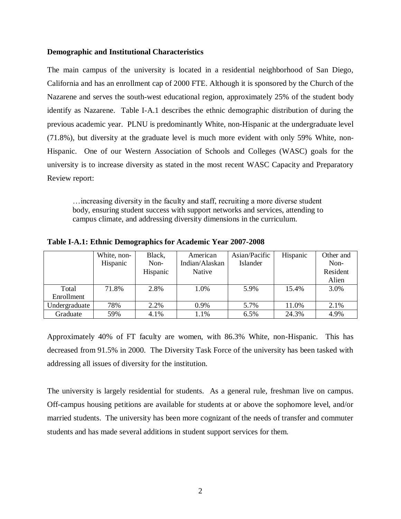#### **Demographic and Institutional Characteristics**

The main campus of the university is located in a residential neighborhood of San Diego, California and has an enrollment cap of 2000 FTE. Although it is sponsored by the Church of the Nazarene and serves the south-west educational region, approximately 25% of the student body identify as Nazarene. Table I-A.1 describes the ethnic demographic distribution of during the previous academic year. PLNU is predominantly White, non-Hispanic at the undergraduate level (71.8%), but diversity at the graduate level is much more evident with only 59% White, non-Hispanic. One of our Western Association of Schools and Colleges (WASC) goals for the university is to increase diversity as stated in the most recent WASC Capacity and Preparatory Review report:

…increasing diversity in the faculty and staff, recruiting a more diverse student body, ensuring student success with support networks and services, attending to campus climate, and addressing diversity dimensions in the curriculum.

|               | White, non- | Black,   | American       | Asian/Pacific   | Hispanic | Other and |
|---------------|-------------|----------|----------------|-----------------|----------|-----------|
|               | Hispanic    | Non-     | Indian/Alaskan | <b>Islander</b> |          | Non-      |
|               |             | Hispanic | Native         |                 |          | Resident  |
|               |             |          |                |                 |          | Alien     |
| Total         | 71.8%       | 2.8%     | 1.0%           | 5.9%            | 15.4%    | 3.0%      |
| Enrollment    |             |          |                |                 |          |           |
| Undergraduate | 78%         | 2.2%     | 0.9%           | 5.7%            | 11.0%    | 2.1%      |
| Graduate      | 59%         | 4.1%     | 1.1%           | 6.5%            | 24.3%    | 4.9%      |

**Table I-A.1: Ethnic Demographics for Academic Year 2007-2008**

Approximately 40% of FT faculty are women, with 86.3% White, non-Hispanic. This has decreased from 91.5% in 2000. The Diversity Task Force of the university has been tasked with addressing all issues of diversity for the institution.

The university is largely residential for students. As a general rule, freshman live on campus. Off-campus housing petitions are available for students at or above the sophomore level, and/or married students. The university has been more cognizant of the needs of transfer and commuter students and has made several additions in student support services for them.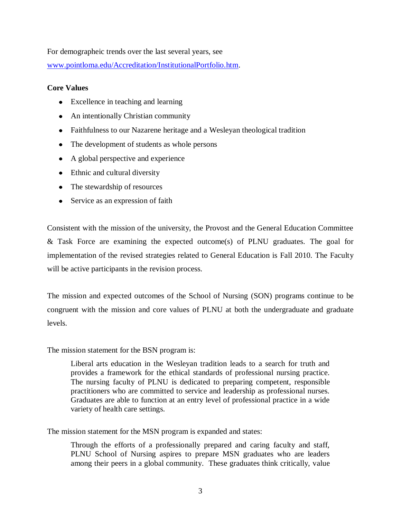For demographeic trends over the last several years, see

[www.pointloma.edu/Accreditation/InstitutionalPortfolio.htm.](http://www.pointloma.edu/Accreditation/InstitutionalPortfolio.htm)

## **Core Values**

- Excellence in teaching and learning
- An intentionally Christian community
- Faithfulness to our Nazarene heritage and a Wesleyan theological tradition
- The development of students as whole persons
- A global perspective and experience
- Ethnic and cultural diversity
- The stewardship of resources
- Service as an expression of faith

Consistent with the mission of the university, the Provost and the General Education Committee & Task Force are examining the expected outcome(s) of PLNU graduates. The goal for implementation of the revised strategies related to General Education is Fall 2010. The Faculty will be active participants in the revision process.

The mission and expected outcomes of the School of Nursing (SON) programs continue to be congruent with the mission and core values of PLNU at both the undergraduate and graduate levels.

The mission statement for the BSN program is:

Liberal arts education in the Wesleyan tradition leads to a search for truth and provides a framework for the ethical standards of professional nursing practice. The nursing faculty of PLNU is dedicated to preparing competent, responsible practitioners who are committed to service and leadership as professional nurses. Graduates are able to function at an entry level of professional practice in a wide variety of health care settings.

The mission statement for the MSN program is expanded and states:

Through the efforts of a professionally prepared and caring faculty and staff, PLNU School of Nursing aspires to prepare MSN graduates who are leaders among their peers in a global community. These graduates think critically, value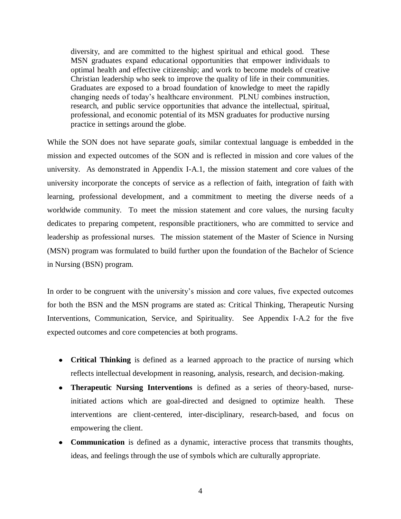diversity, and are committed to the highest spiritual and ethical good. These MSN graduates expand educational opportunities that empower individuals to optimal health and effective citizenship; and work to become models of creative Christian leadership who seek to improve the quality of life in their communities. Graduates are exposed to a broad foundation of knowledge to meet the rapidly changing needs of today's healthcare environment. PLNU combines instruction, research, and public service opportunities that advance the intellectual, spiritual, professional, and economic potential of its MSN graduates for productive nursing practice in settings around the globe.

While the SON does not have separate *goals*, similar contextual language is embedded in the mission and expected outcomes of the SON and is reflected in mission and core values of the university. As demonstrated in Appendix I-A.1, the mission statement and core values of the university incorporate the concepts of service as a reflection of faith, integration of faith with learning, professional development, and a commitment to meeting the diverse needs of a worldwide community. To meet the mission statement and core values, the nursing faculty dedicates to preparing competent, responsible practitioners, who are committed to service and leadership as professional nurses. The mission statement of the Master of Science in Nursing (MSN) program was formulated to build further upon the foundation of the Bachelor of Science in Nursing (BSN) program.

In order to be congruent with the university's mission and core values, five expected outcomes for both the BSN and the MSN programs are stated as: Critical Thinking, Therapeutic Nursing Interventions, Communication, Service, and Spirituality. See Appendix I-A.2 for the five expected outcomes and core competencies at both programs.

- **Critical Thinking** is defined as a learned approach to the practice of nursing which reflects intellectual development in reasoning, analysis, research, and decision-making.
- **Therapeutic Nursing Interventions** is defined as a series of theory-based, nurseinitiated actions which are goal-directed and designed to optimize health. These interventions are client-centered, inter-disciplinary, research-based, and focus on empowering the client.
- **Communication** is defined as a dynamic, interactive process that transmits thoughts, ideas, and feelings through the use of symbols which are culturally appropriate.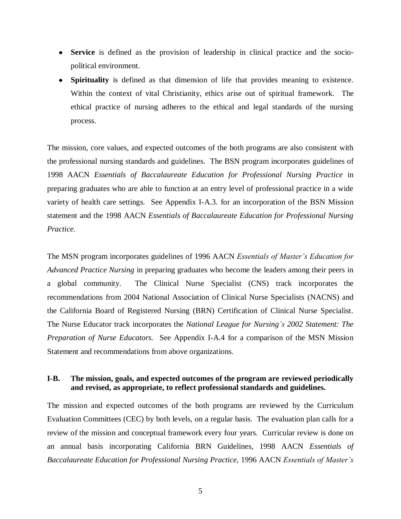- **Service** is defined as the provision of leadership in clinical practice and the sociopolitical environment.
- **Spirituality** is defined as that dimension of life that provides meaning to existence. Within the context of vital Christianity, ethics arise out of spiritual framework. The ethical practice of nursing adheres to the ethical and legal standards of the nursing process.

The mission, core values, and expected outcomes of the both programs are also consistent with the professional nursing standards and guidelines. The BSN program incorporates guidelines of 1998 AACN *Essentials of Baccalaureate Education for Professional Nursing Practice* in preparing graduates who are able to function at an entry level of professional practice in a wide variety of health care settings*.* See Appendix I-A.3. for an incorporation of the BSN Mission statement and the 1998 AACN *Essentials of Baccalaureate Education for Professional Nursing Practice.*

The MSN program incorporates guidelines of 1996 AACN *Essentials of Master's Education for Advanced Practice Nursing* in preparing graduates who become the leaders among their peers in a global community*.* The Clinical Nurse Specialist (CNS) track incorporates the recommendations from 2004 National Association of Clinical Nurse Specialists (NACNS) and the California Board of Registered Nursing (BRN) Certification of Clinical Nurse Specialist. The Nurse Educator track incorporates the *National League for Nursing's 2002 Statement: The Preparation of Nurse Educators.* See Appendix I-A.4 for a comparison of the MSN Mission Statement and recommendations from above organizations.

### **I-B. The mission, goals, and expected outcomes of the program are reviewed periodically and revised, as appropriate, to reflect professional standards and guidelines.**

The mission and expected outcomes of the both programs are reviewed by the Curriculum Evaluation Committees (CEC) by both levels, on a regular basis. The evaluation plan calls for a review of the mission and conceptual framework every four years. Curricular review is done on an annual basis incorporating California BRN Guidelines, 1998 AACN *Essentials of Baccalaureate Education for Professional Nursing Practice,* 1996 AACN *Essentials of Master's*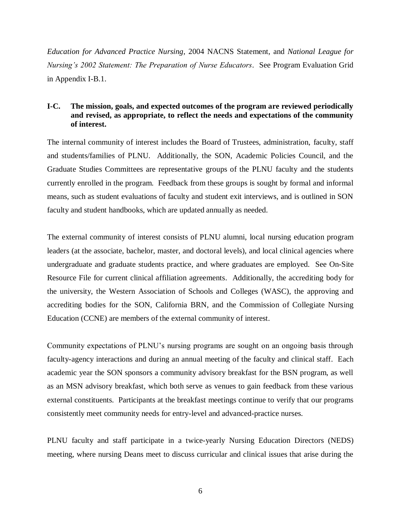*Education for Advanced Practice Nursing*, 2004 NACNS Statement, and *National League for Nursing's 2002 Statement: The Preparation of Nurse Educators*. See Program Evaluation Grid in Appendix I-B.1.

# **I-C. The mission, goals, and expected outcomes of the program are reviewed periodically and revised, as appropriate, to reflect the needs and expectations of the community of interest.**

The internal community of interest includes the Board of Trustees, administration, faculty, staff and students/families of PLNU. Additionally, the SON, Academic Policies Council, and the Graduate Studies Committees are representative groups of the PLNU faculty and the students currently enrolled in the program. Feedback from these groups is sought by formal and informal means, such as student evaluations of faculty and student exit interviews, and is outlined in SON faculty and student handbooks, which are updated annually as needed.

The external community of interest consists of PLNU alumni, local nursing education program leaders (at the associate, bachelor, master, and doctoral levels), and local clinical agencies where undergraduate and graduate students practice, and where graduates are employed. See On-Site Resource File for current clinical affiliation agreements. Additionally, the accrediting body for the university, the Western Association of Schools and Colleges (WASC), the approving and accrediting bodies for the SON, California BRN, and the Commission of Collegiate Nursing Education (CCNE) are members of the external community of interest.

Community expectations of PLNU's nursing programs are sought on an ongoing basis through faculty-agency interactions and during an annual meeting of the faculty and clinical staff. Each academic year the SON sponsors a community advisory breakfast for the BSN program, as well as an MSN advisory breakfast, which both serve as venues to gain feedback from these various external constituents. Participants at the breakfast meetings continue to verify that our programs consistently meet community needs for entry-level and advanced-practice nurses.

PLNU faculty and staff participate in a twice-yearly Nursing Education Directors (NEDS) meeting, where nursing Deans meet to discuss curricular and clinical issues that arise during the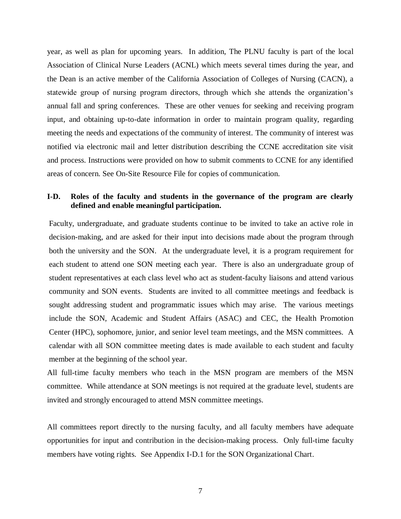year, as well as plan for upcoming years. In addition, The PLNU faculty is part of the local Association of Clinical Nurse Leaders (ACNL) which meets several times during the year, and the Dean is an active member of the California Association of Colleges of Nursing (CACN), a statewide group of nursing program directors, through which she attends the organization's annual fall and spring conferences. These are other venues for seeking and receiving program input, and obtaining up-to-date information in order to maintain program quality, regarding meeting the needs and expectations of the community of interest. The community of interest was notified via electronic mail and letter distribution describing the CCNE accreditation site visit and process. Instructions were provided on how to submit comments to CCNE for any identified areas of concern. See On-Site Resource File for copies of communication.

### **I-D. Roles of the faculty and students in the governance of the program are clearly defined and enable meaningful participation.**

Faculty, undergraduate, and graduate students continue to be invited to take an active role in decision-making, and are asked for their input into decisions made about the program through both the university and the SON. At the undergraduate level, it is a program requirement for each student to attend one SON meeting each year. There is also an undergraduate group of student representatives at each class level who act as student-faculty liaisons and attend various community and SON events. Students are invited to all committee meetings and feedback is sought addressing student and programmatic issues which may arise. The various meetings include the SON, Academic and Student Affairs (ASAC) and CEC, the Health Promotion Center (HPC), sophomore, junior, and senior level team meetings, and the MSN committees. A calendar with all SON committee meeting dates is made available to each student and faculty member at the beginning of the school year.

All full-time faculty members who teach in the MSN program are members of the MSN committee. While attendance at SON meetings is not required at the graduate level, students are invited and strongly encouraged to attend MSN committee meetings.

All committees report directly to the nursing faculty, and all faculty members have adequate opportunities for input and contribution in the decision-making process. Only full-time faculty members have voting rights. See Appendix I-D.1 for the SON Organizational Chart.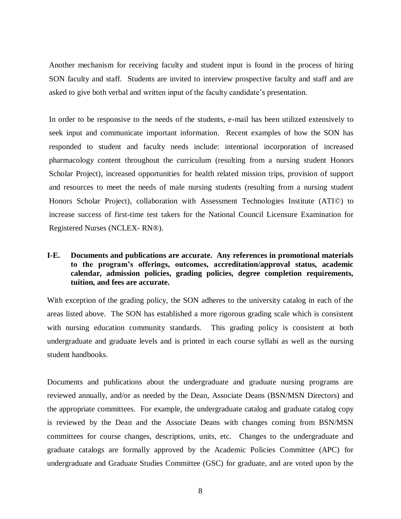Another mechanism for receiving faculty and student input is found in the process of hiring SON faculty and staff. Students are invited to interview prospective faculty and staff and are asked to give both verbal and written input of the faculty candidate's presentation.

In order to be responsive to the needs of the students, e-mail has been utilized extensively to seek input and communicate important information. Recent examples of how the SON has responded to student and faculty needs include: intentional incorporation of increased pharmacology content throughout the curriculum (resulting from a nursing student Honors Scholar Project), increased opportunities for health related mission trips, provision of support and resources to meet the needs of male nursing students (resulting from a nursing student Honors Scholar Project), collaboration with Assessment Technologies Institute (ATI©) to increase success of first-time test takers for the National Council Licensure Examination for Registered Nurses (NCLEX- RN®).

# **I-E. Documents and publications are accurate. Any references in promotional materials to the program's offerings, outcomes, accreditation/approval status, academic calendar, admission policies, grading policies, degree completion requirements, tuition, and fees are accurate.**

With exception of the grading policy, the SON adheres to the university catalog in each of the areas listed above. The SON has established a more rigorous grading scale which is consistent with nursing education community standards. This grading policy is consistent at both undergraduate and graduate levels and is printed in each course syllabi as well as the nursing student handbooks.

Documents and publications about the undergraduate and graduate nursing programs are reviewed annually, and/or as needed by the Dean, Associate Deans (BSN/MSN Directors) and the appropriate committees. For example, the undergraduate catalog and graduate catalog copy is reviewed by the Dean and the Associate Deans with changes coming from BSN/MSN committees for course changes, descriptions, units, etc. Changes to the undergraduate and graduate catalogs are formally approved by the Academic Policies Committee (APC) for undergraduate and Graduate Studies Committee (GSC) for graduate, and are voted upon by the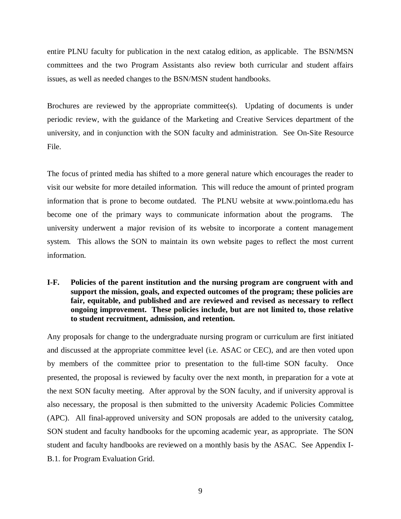entire PLNU faculty for publication in the next catalog edition, as applicable. The BSN/MSN committees and the two Program Assistants also review both curricular and student affairs issues, as well as needed changes to the BSN/MSN student handbooks.

Brochures are reviewed by the appropriate committee(s). Updating of documents is under periodic review, with the guidance of the Marketing and Creative Services department of the university, and in conjunction with the SON faculty and administration. See On-Site Resource File.

The focus of printed media has shifted to a more general nature which encourages the reader to visit our website for more detailed information. This will reduce the amount of printed program information that is prone to become outdated. The PLNU website at www.pointloma.edu has become one of the primary ways to communicate information about the programs. The university underwent a major revision of its website to incorporate a content management system. This allows the SON to maintain its own website pages to reflect the most current information.

**I-F. Policies of the parent institution and the nursing program are congruent with and support the mission, goals, and expected outcomes of the program; these policies are fair, equitable, and published and are reviewed and revised as necessary to reflect ongoing improvement. These policies include, but are not limited to, those relative to student recruitment, admission, and retention.**

Any proposals for change to the undergraduate nursing program or curriculum are first initiated and discussed at the appropriate committee level (i.e. ASAC or CEC), and are then voted upon by members of the committee prior to presentation to the full-time SON faculty. Once presented, the proposal is reviewed by faculty over the next month, in preparation for a vote at the next SON faculty meeting. After approval by the SON faculty, and if university approval is also necessary, the proposal is then submitted to the university Academic Policies Committee (APC). All final-approved university and SON proposals are added to the university catalog, SON student and faculty handbooks for the upcoming academic year, as appropriate. The SON student and faculty handbooks are reviewed on a monthly basis by the ASAC. See Appendix I-B.1. for Program Evaluation Grid.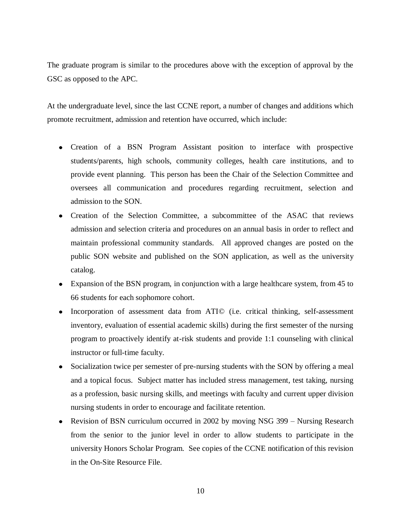The graduate program is similar to the procedures above with the exception of approval by the GSC as opposed to the APC.

At the undergraduate level, since the last CCNE report, a number of changes and additions which promote recruitment, admission and retention have occurred, which include:

- Creation of a BSN Program Assistant position to interface with prospective students/parents, high schools, community colleges, health care institutions, and to provide event planning. This person has been the Chair of the Selection Committee and oversees all communication and procedures regarding recruitment, selection and admission to the SON.
- Creation of the Selection Committee, a subcommittee of the ASAC that reviews admission and selection criteria and procedures on an annual basis in order to reflect and maintain professional community standards. All approved changes are posted on the public SON website and published on the SON application, as well as the university catalog.
- Expansion of the BSN program, in conjunction with a large healthcare system, from 45 to 66 students for each sophomore cohort.
- Incorporation of assessment data from ATI© (i.e. critical thinking, self-assessment inventory, evaluation of essential academic skills) during the first semester of the nursing program to proactively identify at-risk students and provide 1:1 counseling with clinical instructor or full-time faculty.
- Socialization twice per semester of pre-nursing students with the SON by offering a meal and a topical focus. Subject matter has included stress management, test taking, nursing as a profession, basic nursing skills, and meetings with faculty and current upper division nursing students in order to encourage and facilitate retention.
- Revision of BSN curriculum occurred in 2002 by moving NSG 399 Nursing Research from the senior to the junior level in order to allow students to participate in the university Honors Scholar Program. See copies of the CCNE notification of this revision in the On-Site Resource File.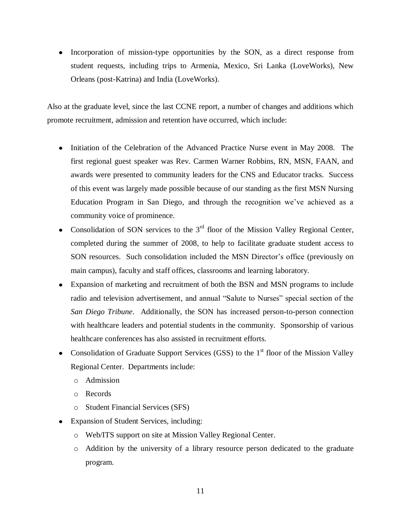• Incorporation of mission-type opportunities by the SON, as a direct response from student requests, including trips to Armenia, Mexico, Sri Lanka (LoveWorks), New Orleans (post-Katrina) and India (LoveWorks).

Also at the graduate level, since the last CCNE report, a number of changes and additions which promote recruitment, admission and retention have occurred, which include:

- Initiation of the Celebration of the Advanced Practice Nurse event in May 2008. The first regional guest speaker was Rev. Carmen Warner Robbins, RN, MSN, FAAN, and awards were presented to community leaders for the CNS and Educator tracks. Success of this event was largely made possible because of our standing as the first MSN Nursing Education Program in San Diego, and through the recognition we've achieved as a community voice of prominence.
- Consolidation of SON services to the  $3<sup>rd</sup>$  floor of the Mission Valley Regional Center, completed during the summer of 2008, to help to facilitate graduate student access to SON resources. Such consolidation included the MSN Director's office (previously on main campus), faculty and staff offices, classrooms and learning laboratory.
- Expansion of marketing and recruitment of both the BSN and MSN programs to include radio and television advertisement, and annual "Salute to Nurses" special section of the *San Diego Tribune*. Additionally, the SON has increased person-to-person connection with healthcare leaders and potential students in the community. Sponsorship of various healthcare conferences has also assisted in recruitment efforts.
- Consolidation of Graduate Support Services (GSS) to the  $1<sup>st</sup>$  floor of the Mission Valley Regional Center. Departments include:
	- o Admission
	- o Records
	- o Student Financial Services (SFS)
- Expansion of Student Services, including:
	- o Web/ITS support on site at Mission Valley Regional Center.
	- o Addition by the university of a library resource person dedicated to the graduate program.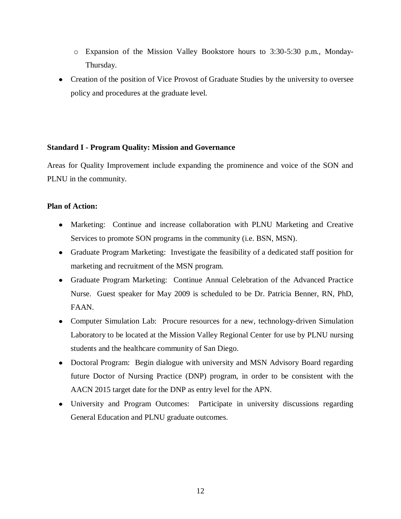- o Expansion of the Mission Valley Bookstore hours to 3:30-5:30 p.m., Monday-Thursday.
- Creation of the position of Vice Provost of Graduate Studies by the university to oversee policy and procedures at the graduate level.

### **Standard I - Program Quality: Mission and Governance**

Areas for Quality Improvement include expanding the prominence and voice of the SON and PLNU in the community.

# **Plan of Action:**

- Marketing: Continue and increase collaboration with PLNU Marketing and Creative Services to promote SON programs in the community (i.e. BSN, MSN).
- Graduate Program Marketing: Investigate the feasibility of a dedicated staff position for marketing and recruitment of the MSN program.
- Graduate Program Marketing: Continue Annual Celebration of the Advanced Practice Nurse. Guest speaker for May 2009 is scheduled to be Dr. Patricia Benner, RN, PhD, FAAN.
- Computer Simulation Lab: Procure resources for a new, technology-driven Simulation Laboratory to be located at the Mission Valley Regional Center for use by PLNU nursing students and the healthcare community of San Diego.
- Doctoral Program: Begin dialogue with university and MSN Advisory Board regarding future Doctor of Nursing Practice (DNP) program, in order to be consistent with the AACN 2015 target date for the DNP as entry level for the APN.
- University and Program Outcomes: Participate in university discussions regarding General Education and PLNU graduate outcomes.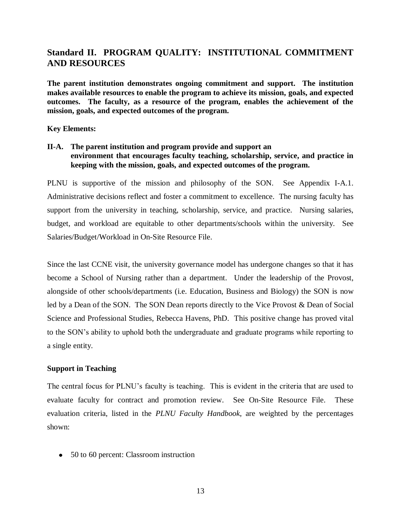# **Standard II. PROGRAM QUALITY: INSTITUTIONAL COMMITMENT AND RESOURCES**

**The parent institution demonstrates ongoing commitment and support. The institution makes available resources to enable the program to achieve its mission, goals, and expected outcomes. The faculty, as a resource of the program, enables the achievement of the mission, goals, and expected outcomes of the program.**

**Key Elements:** 

# **II-A. The parent institution and program provide and support an environment that encourages faculty teaching, scholarship, service, and practice in keeping with the mission, goals, and expected outcomes of the program.**

PLNU is supportive of the mission and philosophy of the SON. See Appendix I-A.1. Administrative decisions reflect and foster a commitment to excellence. The nursing faculty has support from the university in teaching, scholarship, service, and practice. Nursing salaries, budget, and workload are equitable to other departments/schools within the university. See Salaries/Budget/Workload in On-Site Resource File.

Since the last CCNE visit, the university governance model has undergone changes so that it has become a School of Nursing rather than a department. Under the leadership of the Provost, alongside of other schools/departments (i.e. Education, Business and Biology) the SON is now led by a Dean of the SON. The SON Dean reports directly to the Vice Provost & Dean of Social Science and Professional Studies, Rebecca Havens, PhD. This positive change has proved vital to the SON's ability to uphold both the undergraduate and graduate programs while reporting to a single entity.

### **Support in Teaching**

The central focus for PLNU's faculty is teaching. This is evident in the criteria that are used to evaluate faculty for contract and promotion review. See On-Site Resource File.These evaluation criteria, listed in the *PLNU Faculty Handbook*, are weighted by the percentages shown:

• 50 to 60 percent: Classroom instruction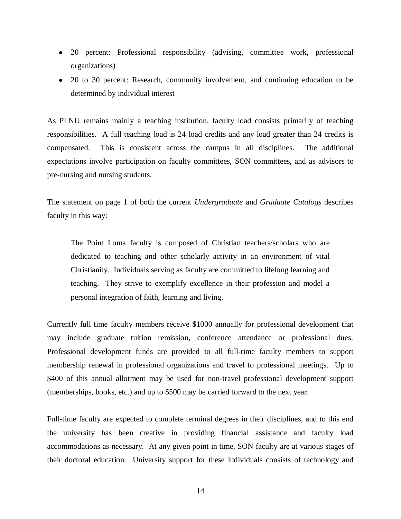- 20 percent: Professional responsibility (advising, committee work, professional organizations)
- 20 to 30 percent: Research, community involvement, and continuing education to be determined by individual interest

As PLNU remains mainly a teaching institution, faculty load consists primarily of teaching responsibilities. A full teaching load is 24 load credits and any load greater than 24 credits is compensated. This is consistent across the campus in all disciplines. The additional expectations involve participation on faculty committees, SON committees, and as advisors to pre-nursing and nursing students.

The statement on page 1 of both the current *Undergraduate* and *Graduate Catalogs* describes faculty in this way:

The Point Loma faculty is composed of Christian teachers/scholars who are dedicated to teaching and other scholarly activity in an environment of vital Christianity. Individuals serving as faculty are committed to lifelong learning and teaching. They strive to exemplify excellence in their profession and model a personal integration of faith, learning and living.

Currently full time faculty members receive \$1000 annually for professional development that may include graduate tuition remission, conference attendance or professional dues. Professional development funds are provided to all full-time faculty members to support membership renewal in professional organizations and travel to professional meetings. Up to \$400 of this annual allotment may be used for non-travel professional development support (memberships, books, etc.) and up to \$500 may be carried forward to the next year.

Full-time faculty are expected to complete terminal degrees in their disciplines, and to this end the university has been creative in providing financial assistance and faculty load accommodations as necessary. At any given point in time, SON faculty are at various stages of their doctoral education. University support for these individuals consists of technology and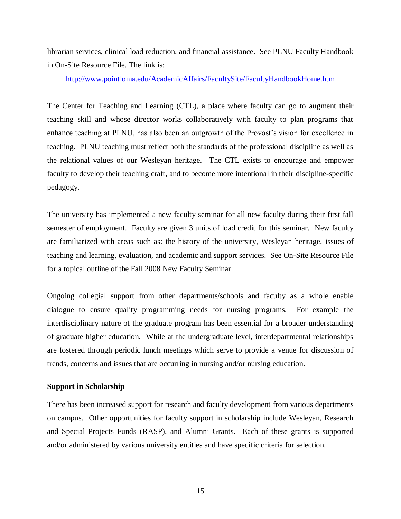librarian services, clinical load reduction, and financial assistance. See PLNU Faculty Handbook in On-Site Resource File*.* The link is:

<http://www.pointloma.edu/AcademicAffairs/FacultySite/FacultyHandbookHome.htm>

The Center for Teaching and Learning (CTL), a place where faculty can go to augment their teaching skill and whose director works collaboratively with faculty to plan programs that enhance teaching at PLNU, has also been an outgrowth of the Provost's vision for excellence in teaching. PLNU teaching must reflect both the standards of the professional discipline as well as the relational values of our Wesleyan heritage. The CTL exists to encourage and empower faculty to develop their teaching craft, and to become more intentional in their discipline-specific pedagogy.

The university has implemented a new faculty seminar for all new faculty during their first fall semester of employment. Faculty are given 3 units of load credit for this seminar. New faculty are familiarized with areas such as: the history of the university, Wesleyan heritage, issues of teaching and learning, evaluation, and academic and support services. See On-Site Resource File for a topical outline of the Fall 2008 New Faculty Seminar.

Ongoing collegial support from other departments/schools and faculty as a whole enable dialogue to ensure quality programming needs for nursing programs. For example the interdisciplinary nature of the graduate program has been essential for a broader understanding of graduate higher education. While at the undergraduate level, interdepartmental relationships are fostered through periodic lunch meetings which serve to provide a venue for discussion of trends, concerns and issues that are occurring in nursing and/or nursing education.

### **Support in Scholarship**

There has been increased support for research and faculty development from various departments on campus. Other opportunities for faculty support in scholarship include Wesleyan, Research and Special Projects Funds (RASP), and Alumni Grants. Each of these grants is supported and/or administered by various university entities and have specific criteria for selection.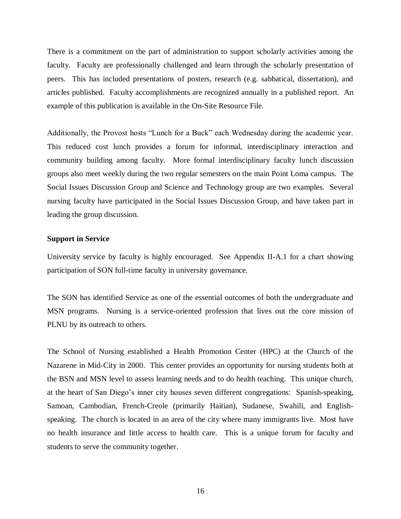There is a commitment on the part of administration to support scholarly activities among the faculty. Faculty are professionally challenged and learn through the scholarly presentation of peers. This has included presentations of posters, research (e.g. sabbatical, dissertation), and articles published. Faculty accomplishments are recognized annually in a published report. An example of this publication is available in the On-Site Resource File.

Additionally, the Provost hosts "Lunch for a Buck" each Wednesday during the academic year. This reduced cost lunch provides a forum for informal, interdisciplinary interaction and community building among faculty. More formal interdisciplinary faculty lunch discussion groups also meet weekly during the two regular semesters on the main Point Loma campus. The Social Issues Discussion Group and Science and Technology group are two examples. Several nursing faculty have participated in the Social Issues Discussion Group, and have taken part in leading the group discussion.

### **Support in Service**

University service by faculty is highly encouraged. See Appendix II-A.1 for a chart showing participation of SON full-time faculty in university governance.

The SON has identified Service as one of the essential outcomes of both the undergraduate and MSN programs. Nursing is a service-oriented profession that lives out the core mission of PLNU by its outreach to others.

The School of Nursing established a Health Promotion Center (HPC) at the Church of the Nazarene in Mid-City in 2000. This center provides an opportunity for nursing students both at the BSN and MSN level to assess learning needs and to do health teaching. This unique church, at the heart of San Diego's inner city houses seven different congregations: Spanish-speaking, Samoan, Cambodian, French-Creole (primarily Haitian), Sudanese, Swahili, and Englishspeaking. The church is located in an area of the city where many immigrants live. Most have no health insurance and little access to health care. This is a unique forum for faculty and students to serve the community together.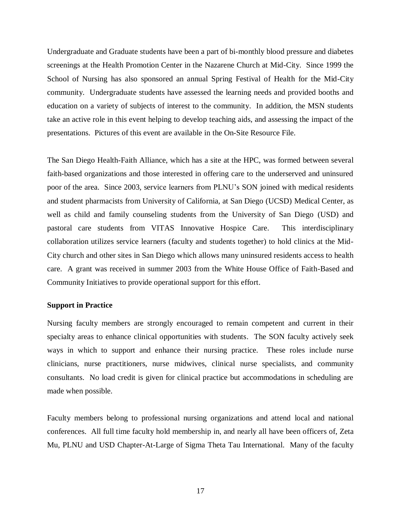Undergraduate and Graduate students have been a part of bi-monthly blood pressure and diabetes screenings at the Health Promotion Center in the Nazarene Church at Mid-City. Since 1999 the School of Nursing has also sponsored an annual Spring Festival of Health for the Mid-City community. Undergraduate students have assessed the learning needs and provided booths and education on a variety of subjects of interest to the community. In addition, the MSN students take an active role in this event helping to develop teaching aids, and assessing the impact of the presentations. Pictures of this event are available in the On-Site Resource File.

The San Diego Health-Faith Alliance, which has a site at the HPC, was formed between several faith-based organizations and those interested in offering care to the underserved and uninsured poor of the area. Since 2003, service learners from PLNU's SON joined with medical residents and student pharmacists from University of California, at San Diego (UCSD) Medical Center, as well as child and family counseling students from the University of San Diego (USD) and pastoral care students from VITAS Innovative Hospice Care. This interdisciplinary collaboration utilizes service learners (faculty and students together) to hold clinics at the Mid-City church and other sites in San Diego which allows many uninsured residents access to health care. A grant was received in summer 2003 from the White House Office of Faith-Based and Community Initiatives to provide operational support for this effort.

#### **Support in Practice**

Nursing faculty members are strongly encouraged to remain competent and current in their specialty areas to enhance clinical opportunities with students. The SON faculty actively seek ways in which to support and enhance their nursing practice. These roles include nurse clinicians, nurse practitioners, nurse midwives, clinical nurse specialists, and community consultants. No load credit is given for clinical practice but accommodations in scheduling are made when possible.

Faculty members belong to professional nursing organizations and attend local and national conferences. All full time faculty hold membership in, and nearly all have been officers of, Zeta Mu, PLNU and USD Chapter-At-Large of Sigma Theta Tau International. Many of the faculty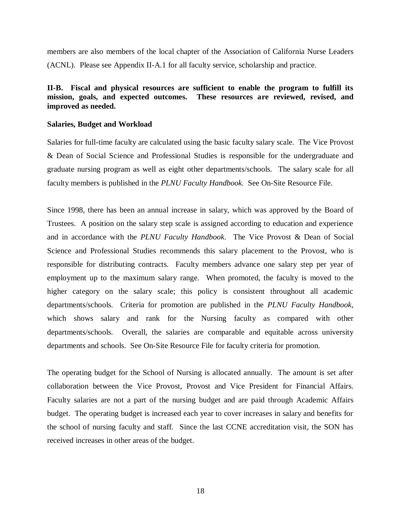members are also members of the local chapter of the Association of California Nurse Leaders (ACNL). Please see Appendix II-A.1 for all faculty service, scholarship and practice.

# **II-B. Fiscal and physical resources are sufficient to enable the program to fulfill its mission, goals, and expected outcomes. These resources are reviewed, revised, and improved as needed.**

#### **Salaries, Budget and Workload**

Salaries for full-time faculty are calculated using the basic faculty salary scale. The Vice Provost & Dean of Social Science and Professional Studies is responsible for the undergraduate and graduate nursing program as well as eight other departments/schools. The salary scale for all faculty members is published in the *PLNU Faculty Handbook.* See On-Site Resource File.

Since 1998, there has been an annual increase in salary, which was approved by the Board of Trustees. A position on the salary step scale is assigned according to education and experience and in accordance with the *PLNU Faculty Handbook*. The Vice Provost & Dean of Social Science and Professional Studies recommends this salary placement to the Provost, who is responsible for distributing contracts. Faculty members advance one salary step per year of employment up to the maximum salary range. When promoted, the faculty is moved to the higher category on the salary scale; this policy is consistent throughout all academic departments/schools. Criteria for promotion are published in the *PLNU Faculty Handbook,*  which shows salary and rank for the Nursing faculty as compared with other departments/schools. Overall, the salaries are comparable and equitable across university departments and schools. See On-Site Resource File for faculty criteria for promotion.

The operating budget for the School of Nursing is allocated annually. The amount is set after collaboration between the Vice Provost, Provost and Vice President for Financial Affairs. Faculty salaries are not a part of the nursing budget and are paid through Academic Affairs budget. The operating budget is increased each year to cover increases in salary and benefits for the school of nursing faculty and staff. Since the last CCNE accreditation visit, the SON has received increases in other areas of the budget.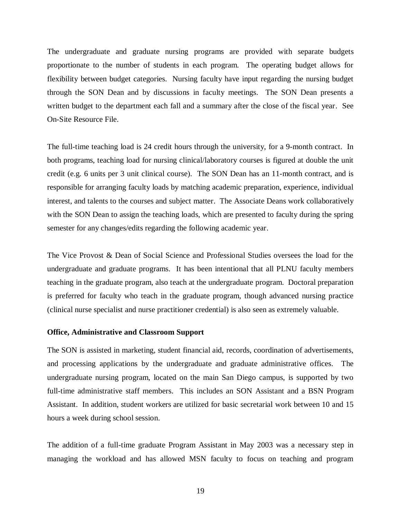The undergraduate and graduate nursing programs are provided with separate budgets proportionate to the number of students in each program. The operating budget allows for flexibility between budget categories. Nursing faculty have input regarding the nursing budget through the SON Dean and by discussions in faculty meetings. The SON Dean presents a written budget to the department each fall and a summary after the close of the fiscal year. See On-Site Resource File.

The full-time teaching load is 24 credit hours through the university, for a 9-month contract. In both programs, teaching load for nursing clinical/laboratory courses is figured at double the unit credit (e.g. 6 units per 3 unit clinical course). The SON Dean has an 11-month contract, and is responsible for arranging faculty loads by matching academic preparation, experience, individual interest, and talents to the courses and subject matter. The Associate Deans work collaboratively with the SON Dean to assign the teaching loads, which are presented to faculty during the spring semester for any changes/edits regarding the following academic year.

The Vice Provost & Dean of Social Science and Professional Studies oversees the load for the undergraduate and graduate programs. It has been intentional that all PLNU faculty members teaching in the graduate program, also teach at the undergraduate program. Doctoral preparation is preferred for faculty who teach in the graduate program, though advanced nursing practice (clinical nurse specialist and nurse practitioner credential) is also seen as extremely valuable.

#### **Office, Administrative and Classroom Support**

The SON is assisted in marketing, student financial aid, records, coordination of advertisements, and processing applications by the undergraduate and graduate administrative offices. The undergraduate nursing program, located on the main San Diego campus, is supported by two full-time administrative staff members. This includes an SON Assistant and a BSN Program Assistant. In addition, student workers are utilized for basic secretarial work between 10 and 15 hours a week during school session.

The addition of a full-time graduate Program Assistant in May 2003 was a necessary step in managing the workload and has allowed MSN faculty to focus on teaching and program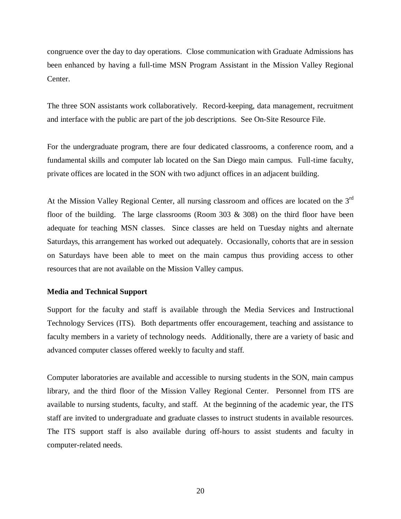congruence over the day to day operations. Close communication with Graduate Admissions has been enhanced by having a full-time MSN Program Assistant in the Mission Valley Regional Center.

The three SON assistants work collaboratively. Record-keeping, data management, recruitment and interface with the public are part of the job descriptions. See On-Site Resource File.

For the undergraduate program, there are four dedicated classrooms, a conference room, and a fundamental skills and computer lab located on the San Diego main campus. Full-time faculty, private offices are located in the SON with two adjunct offices in an adjacent building.

At the Mission Valley Regional Center, all nursing classroom and offices are located on the 3<sup>rd</sup> floor of the building. The large classrooms (Room  $303 \& 308$ ) on the third floor have been adequate for teaching MSN classes. Since classes are held on Tuesday nights and alternate Saturdays, this arrangement has worked out adequately. Occasionally, cohorts that are in session on Saturdays have been able to meet on the main campus thus providing access to other resources that are not available on the Mission Valley campus.

#### **Media and Technical Support**

Support for the faculty and staff is available through the Media Services and Instructional Technology Services (ITS). Both departments offer encouragement, teaching and assistance to faculty members in a variety of technology needs. Additionally, there are a variety of basic and advanced computer classes offered weekly to faculty and staff.

Computer laboratories are available and accessible to nursing students in the SON, main campus library, and the third floor of the Mission Valley Regional Center. Personnel from ITS are available to nursing students, faculty, and staff. At the beginning of the academic year, the ITS staff are invited to undergraduate and graduate classes to instruct students in available resources. The ITS support staff is also available during off-hours to assist students and faculty in computer-related needs.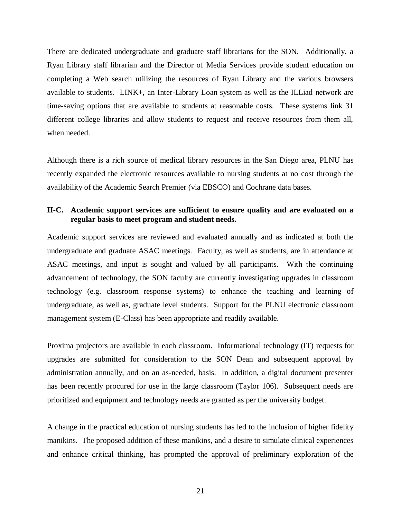There are dedicated undergraduate and graduate staff librarians for the SON. Additionally, a Ryan Library staff librarian and the Director of Media Services provide student education on completing a Web search utilizing the resources of Ryan Library and the various browsers available to students. LINK+, an Inter-Library Loan system as well as the ILLiad network are time-saving options that are available to students at reasonable costs. These systems link 31 different college libraries and allow students to request and receive resources from them all, when needed.

Although there is a rich source of medical library resources in the San Diego area, PLNU has recently expanded the electronic resources available to nursing students at no cost through the availability of the Academic Search Premier (via EBSCO) and Cochrane data bases.

# **II-C. Academic support services are sufficient to ensure quality and are evaluated on a regular basis to meet program and student needs.**

Academic support services are reviewed and evaluated annually and as indicated at both the undergraduate and graduate ASAC meetings. Faculty, as well as students, are in attendance at ASAC meetings, and input is sought and valued by all participants. With the continuing advancement of technology, the SON faculty are currently investigating upgrades in classroom technology (e.g. classroom response systems) to enhance the teaching and learning of undergraduate, as well as, graduate level students. Support for the PLNU electronic classroom management system (E-Class) has been appropriate and readily available.

Proxima projectors are available in each classroom. Informational technology (IT) requests for upgrades are submitted for consideration to the SON Dean and subsequent approval by administration annually, and on an as-needed, basis. In addition, a digital document presenter has been recently procured for use in the large classroom (Taylor 106). Subsequent needs are prioritized and equipment and technology needs are granted as per the university budget.

A change in the practical education of nursing students has led to the inclusion of higher fidelity manikins. The proposed addition of these manikins, and a desire to simulate clinical experiences and enhance critical thinking, has prompted the approval of preliminary exploration of the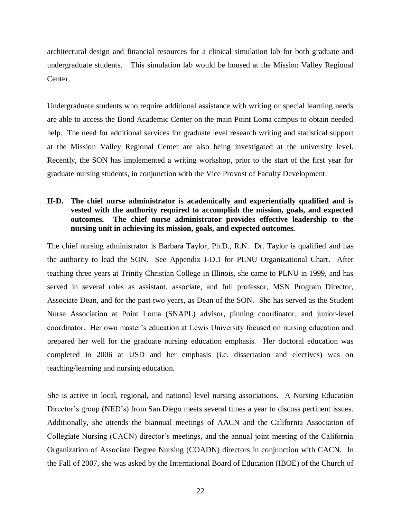architectural design and financial resources for a clinical simulation lab for both graduate and undergraduate students. This simulation lab would be housed at the Mission Valley Regional Center.

Undergraduate students who require additional assistance with writing or special learning needs are able to access the Bond Academic Center on the main Point Loma campus to obtain needed help. The need for additional services for graduate level research writing and statistical support at the Mission Valley Regional Center are also being investigated at the university level. Recently, the SON has implemented a writing workshop, prior to the start of the first year for graduate nursing students, in conjunction with the Vice Provost of Faculty Development.

# **II-D. The chief nurse administrator is academically and experientially qualified and is vested with the authority required to accomplish the mission, goals, and expected outcomes. The chief nurse administrator provides effective leadership to the nursing unit in achieving its mission, goals, and expected outcomes.**

The chief nursing administrator is Barbara Taylor, Ph.D., R.N. Dr. Taylor is qualified and has the authority to lead the SON. See Appendix I-D.1 for PLNU Organizational Chart. After teaching three years at Trinity Christian College in Illinois, she came to PLNU in 1999, and has served in several roles as assistant, associate, and full professor, MSN Program Director, Associate Dean, and for the past two years, as Dean of the SON. She has served as the Student Nurse Association at Point Loma (SNAPL) advisor, pinning coordinator, and junior-level coordinator. Her own master's education at Lewis University focused on nursing education and prepared her well for the graduate nursing education emphasis. Her doctoral education was completed in 2006 at USD and her emphasis (i.e. dissertation and electives) was on teaching/learning and nursing education.

She is active in local, regional, and national level nursing associations. A Nursing Education Director's group (NED's) from San Diego meets several times a year to discuss pertinent issues. Additionally, she attends the biannual meetings of AACN and the California Association of Collegiate Nursing (CACN) director's meetings, and the annual joint meeting of the California Organization of Associate Degree Nursing (COADN) directors in conjunction with CACN. In the Fall of 2007, she was asked by the International Board of Education (IBOE) of the Church of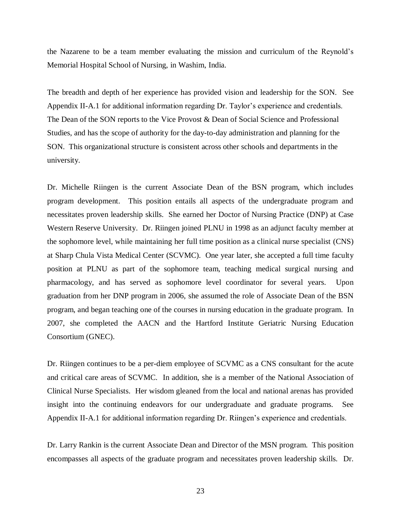the Nazarene to be a team member evaluating the mission and curriculum of the Reynold's Memorial Hospital School of Nursing, in Washim, India.

The breadth and depth of her experience has provided vision and leadership for the SON. See Appendix II-A.1 for additional information regarding Dr. Taylor's experience and credentials. The Dean of the SON reports to the Vice Provost & Dean of Social Science and Professional Studies, and has the scope of authority for the day-to-day administration and planning for the SON. This organizational structure is consistent across other schools and departments in the university.

Dr. Michelle Riingen is the current Associate Dean of the BSN program, which includes program development. This position entails all aspects of the undergraduate program and necessitates proven leadership skills. She earned her Doctor of Nursing Practice (DNP) at Case Western Reserve University. Dr. Riingen joined PLNU in 1998 as an adjunct faculty member at the sophomore level, while maintaining her full time position as a clinical nurse specialist (CNS) at Sharp Chula Vista Medical Center (SCVMC). One year later, she accepted a full time faculty position at PLNU as part of the sophomore team, teaching medical surgical nursing and pharmacology, and has served as sophomore level coordinator for several years. Upon graduation from her DNP program in 2006, she assumed the role of Associate Dean of the BSN program, and began teaching one of the courses in nursing education in the graduate program. In 2007, she completed the AACN and the Hartford Institute Geriatric Nursing Education Consortium (GNEC).

Dr. Riingen continues to be a per-diem employee of SCVMC as a CNS consultant for the acute and critical care areas of SCVMC. In addition, she is a member of the National Association of Clinical Nurse Specialists. Her wisdom gleaned from the local and national arenas has provided insight into the continuing endeavors for our undergraduate and graduate programs. See Appendix II-A.1 for additional information regarding Dr. Riingen's experience and credentials.

Dr. Larry Rankin is the current Associate Dean and Director of the MSN program. This position encompasses all aspects of the graduate program and necessitates proven leadership skills. Dr.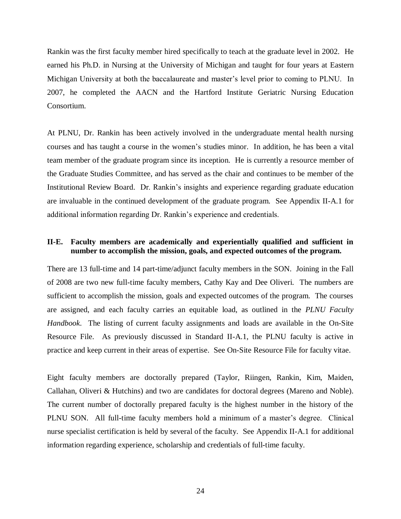Rankin was the first faculty member hired specifically to teach at the graduate level in 2002. He earned his Ph.D. in Nursing at the University of Michigan and taught for four years at Eastern Michigan University at both the baccalaureate and master's level prior to coming to PLNU. In 2007, he completed the AACN and the Hartford Institute Geriatric Nursing Education Consortium.

At PLNU, Dr. Rankin has been actively involved in the undergraduate mental health nursing courses and has taught a course in the women's studies minor. In addition, he has been a vital team member of the graduate program since its inception. He is currently a resource member of the Graduate Studies Committee, and has served as the chair and continues to be member of the Institutional Review Board. Dr. Rankin's insights and experience regarding graduate education are invaluable in the continued development of the graduate program. See Appendix II-A.1 for additional information regarding Dr. Rankin's experience and credentials.

# **II-E. Faculty members are academically and experientially qualified and sufficient in number to accomplish the mission, goals, and expected outcomes of the program.**

There are 13 full-time and 14 part-time/adjunct faculty members in the SON. Joining in the Fall of 2008 are two new full-time faculty members, Cathy Kay and Dee Oliveri. The numbers are sufficient to accomplish the mission, goals and expected outcomes of the program. The courses are assigned, and each faculty carries an equitable load, as outlined in the *PLNU Faculty Handbook*. The listing of current faculty assignments and loads are available in the On-Site Resource File. As previously discussed in Standard II-A.1, the PLNU faculty is active in practice and keep current in their areas of expertise. See On-Site Resource File for faculty vitae.

Eight faculty members are doctorally prepared (Taylor, Riingen, Rankin, Kim, Maiden, Callahan, Oliveri & Hutchins) and two are candidates for doctoral degrees (Mareno and Noble). The current number of doctorally prepared faculty is the highest number in the history of the PLNU SON. All full-time faculty members hold a minimum of a master's degree. Clinical nurse specialist certification is held by several of the faculty. See Appendix II-A.1 for additional information regarding experience, scholarship and credentials of full-time faculty.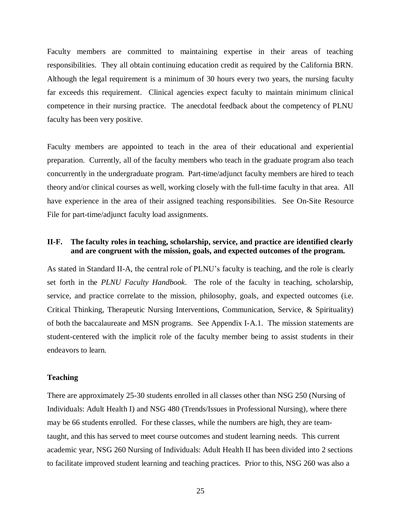Faculty members are committed to maintaining expertise in their areas of teaching responsibilities. They all obtain continuing education credit as required by the California BRN. Although the legal requirement is a minimum of 30 hours every two years, the nursing faculty far exceeds this requirement. Clinical agencies expect faculty to maintain minimum clinical competence in their nursing practice. The anecdotal feedback about the competency of PLNU faculty has been very positive.

Faculty members are appointed to teach in the area of their educational and experiential preparation. Currently, all of the faculty members who teach in the graduate program also teach concurrently in the undergraduate program. Part-time/adjunct faculty members are hired to teach theory and/or clinical courses as well, working closely with the full-time faculty in that area. All have experience in the area of their assigned teaching responsibilities. See On-Site Resource File for part-time/adjunct faculty load assignments.

# **II-F. The faculty roles in teaching, scholarship, service, and practice are identified clearly and are congruent with the mission, goals, and expected outcomes of the program.**

As stated in Standard II-A, the central role of PLNU's faculty is teaching, and the role is clearly set forth in the *PLNU Faculty Handbook*. The role of the faculty in teaching, scholarship, service, and practice correlate to the mission, philosophy, goals, and expected outcomes (i.e. Critical Thinking, Therapeutic Nursing Interventions, Communication, Service, & Spirituality) of both the baccalaureate and MSN programs. See Appendix I-A.1. The mission statements are student-centered with the implicit role of the faculty member being to assist students in their endeavors to learn.

#### **Teaching**

There are approximately 25-30 students enrolled in all classes other than NSG 250 (Nursing of Individuals: Adult Health I) and NSG 480 (Trends/Issues in Professional Nursing), where there may be 66 students enrolled. For these classes, while the numbers are high, they are teamtaught, and this has served to meet course outcomes and student learning needs. This current academic year, NSG 260 Nursing of Individuals: Adult Health II has been divided into 2 sections to facilitate improved student learning and teaching practices. Prior to this, NSG 260 was also a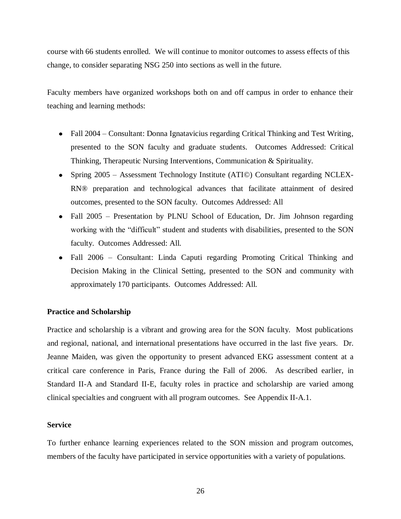course with 66 students enrolled. We will continue to monitor outcomes to assess effects of this change, to consider separating NSG 250 into sections as well in the future.

Faculty members have organized workshops both on and off campus in order to enhance their teaching and learning methods:

- Fall 2004 Consultant: Donna Ignatavicius regarding Critical Thinking and Test Writing, presented to the SON faculty and graduate students. Outcomes Addressed: Critical Thinking, Therapeutic Nursing Interventions, Communication & Spirituality.
- Spring 2005 Assessment Technology Institute (ATI©) Consultant regarding NCLEX-RN® preparation and technological advances that facilitate attainment of desired outcomes, presented to the SON faculty. Outcomes Addressed: All
- Fall 2005 Presentation by PLNU School of Education, Dr. Jim Johnson regarding working with the "difficult" student and students with disabilities, presented to the SON faculty. Outcomes Addressed: All.
- Fall 2006 Consultant: Linda Caputi regarding Promoting Critical Thinking and Decision Making in the Clinical Setting, presented to the SON and community with approximately 170 participants. Outcomes Addressed: All.

#### **Practice and Scholarship**

Practice and scholarship is a vibrant and growing area for the SON faculty. Most publications and regional, national, and international presentations have occurred in the last five years. Dr. Jeanne Maiden, was given the opportunity to present advanced EKG assessment content at a critical care conference in Paris, France during the Fall of 2006. As described earlier, in Standard II-A and Standard II-E, faculty roles in practice and scholarship are varied among clinical specialties and congruent with all program outcomes. See Appendix II-A.1.

#### **Service**

To further enhance learning experiences related to the SON mission and program outcomes, members of the faculty have participated in service opportunities with a variety of populations.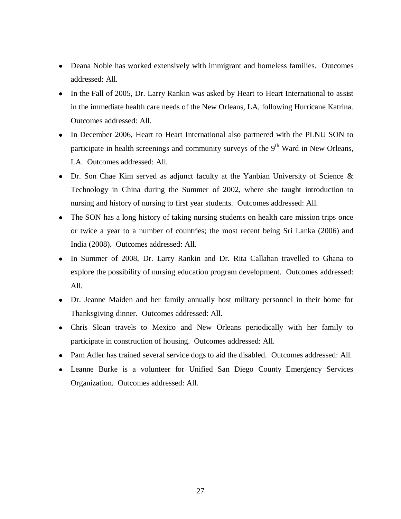- Deana Noble has worked extensively with immigrant and homeless families. Outcomes addressed: All.
- In the Fall of 2005, Dr. Larry Rankin was asked by Heart to Heart International to assist in the immediate health care needs of the New Orleans, LA, following Hurricane Katrina. Outcomes addressed: All.
- In December 2006, Heart to Heart International also partnered with the PLNU SON to participate in health screenings and community surveys of the  $9<sup>th</sup>$  Ward in New Orleans, LA. Outcomes addressed: All.
- Dr. Son Chae Kim served as adjunct faculty at the Yanbian University of Science & Technology in China during the Summer of 2002, where she taught introduction to nursing and history of nursing to first year students. Outcomes addressed: All.
- The SON has a long history of taking nursing students on health care mission trips once or twice a year to a number of countries; the most recent being Sri Lanka (2006) and India (2008). Outcomes addressed: All.
- In Summer of 2008, Dr. Larry Rankin and Dr. Rita Callahan travelled to Ghana to explore the possibility of nursing education program development. Outcomes addressed: All.
- Dr. Jeanne Maiden and her family annually host military personnel in their home for Thanksgiving dinner. Outcomes addressed: All.
- Chris Sloan travels to Mexico and New Orleans periodically with her family to participate in construction of housing. Outcomes addressed: All.
- Pam Adler has trained several service dogs to aid the disabled. Outcomes addressed: All.
- Leanne Burke is a volunteer for Unified San Diego County Emergency Services Organization. Outcomes addressed: All.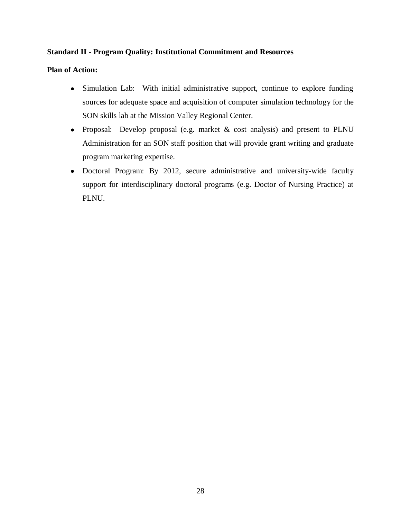# **Standard II - Program Quality: Institutional Commitment and Resources**

## **Plan of Action:**

- Simulation Lab: With initial administrative support, continue to explore funding sources for adequate space and acquisition of computer simulation technology for the SON skills lab at the Mission Valley Regional Center.
- Proposal: Develop proposal (e.g. market & cost analysis) and present to PLNU Administration for an SON staff position that will provide grant writing and graduate program marketing expertise.
- Doctoral Program: By 2012, secure administrative and university-wide faculty support for interdisciplinary doctoral programs (e.g. Doctor of Nursing Practice) at PLNU.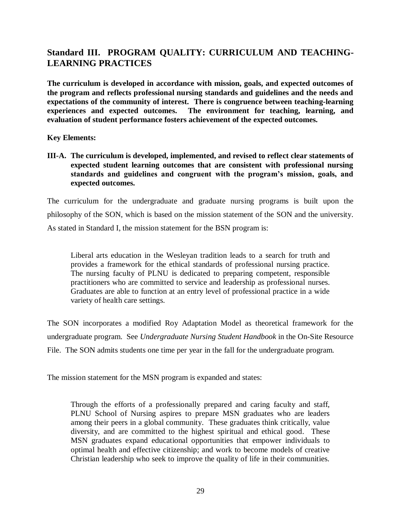# **Standard III. PROGRAM QUALITY: CURRICULUM AND TEACHING-LEARNING PRACTICES**

**The curriculum is developed in accordance with mission, goals, and expected outcomes of the program and reflects professional nursing standards and guidelines and the needs and expectations of the community of interest. There is congruence between teaching-learning experiences and expected outcomes. The environment for teaching, learning, and evaluation of student performance fosters achievement of the expected outcomes.**

**Key Elements:**

**III-A. The curriculum is developed, implemented, and revised to reflect clear statements of expected student learning outcomes that are consistent with professional nursing standards and guidelines and congruent with the program's mission, goals, and expected outcomes.**

The curriculum for the undergraduate and graduate nursing programs is built upon the philosophy of the SON, which is based on the mission statement of the SON and the university. As stated in Standard I, the mission statement for the BSN program is:

Liberal arts education in the Wesleyan tradition leads to a search for truth and provides a framework for the ethical standards of professional nursing practice. The nursing faculty of PLNU is dedicated to preparing competent, responsible practitioners who are committed to service and leadership as professional nurses. Graduates are able to function at an entry level of professional practice in a wide variety of health care settings.

The SON incorporates a modified Roy Adaptation Model as theoretical framework for the undergraduate program. See *Undergraduate Nursing Student Handbook* in the On-Site Resource File. The SON admits students one time per year in the fall for the undergraduate program.

The mission statement for the MSN program is expanded and states:

Through the efforts of a professionally prepared and caring faculty and staff, PLNU School of Nursing aspires to prepare MSN graduates who are leaders among their peers in a global community. These graduates think critically, value diversity, and are committed to the highest spiritual and ethical good. These MSN graduates expand educational opportunities that empower individuals to optimal health and effective citizenship; and work to become models of creative Christian leadership who seek to improve the quality of life in their communities.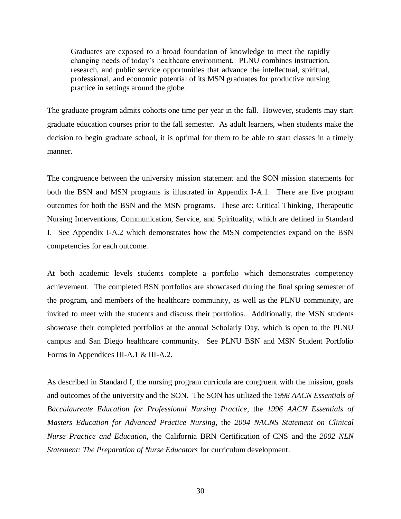Graduates are exposed to a broad foundation of knowledge to meet the rapidly changing needs of today's healthcare environment. PLNU combines instruction, research, and public service opportunities that advance the intellectual, spiritual, professional, and economic potential of its MSN graduates for productive nursing practice in settings around the globe.

The graduate program admits cohorts one time per year in the fall. However, students may start graduate education courses prior to the fall semester. As adult learners, when students make the decision to begin graduate school, it is optimal for them to be able to start classes in a timely manner.

The congruence between the university mission statement and the SON mission statements for both the BSN and MSN programs is illustrated in Appendix I-A.1. There are five program outcomes for both the BSN and the MSN programs. These are: Critical Thinking, Therapeutic Nursing Interventions, Communication, Service, and Spirituality, which are defined in Standard I. See Appendix I-A.2 which demonstrates how the MSN competencies expand on the BSN competencies for each outcome.

At both academic levels students complete a portfolio which demonstrates competency achievement. The completed BSN portfolios are showcased during the final spring semester of the program, and members of the healthcare community, as well as the PLNU community, are invited to meet with the students and discuss their portfolios. Additionally, the MSN students showcase their completed portfolios at the annual Scholarly Day, which is open to the PLNU campus and San Diego healthcare community. See PLNU BSN and MSN Student Portfolio Forms in Appendices III-A.1 & III-A.2.

As described in Standard I, the nursing program curricula are congruent with the mission, goals and outcomes of the university and the SON. The SON has utilized the 1*998 AACN Essentials of Baccalaureate Education for Professional Nursing Practice*, the *1996 AACN Essentials of Masters Education for Advanced Practice Nursing*, the *2004 NACNS Statement on Clinical Nurse Practice and Education*, the California BRN Certification of CNS and the *2002 NLN Statement: The Preparation of Nurse Educators* for curriculum development.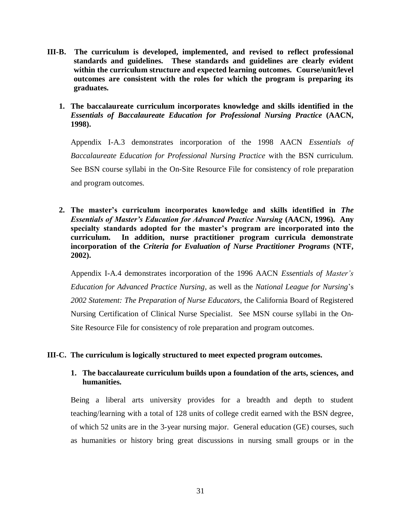- **III-B. The curriculum is developed, implemented, and revised to reflect professional standards and guidelines. These standards and guidelines are clearly evident within the curriculum structure and expected learning outcomes. Course/unit/level outcomes are consistent with the roles for which the program is preparing its graduates.** 
	- **1. The baccalaureate curriculum incorporates knowledge and skills identified in the**  *Essentials of Baccalaureate Education for Professional Nursing Practice* **(AACN, 1998).**

Appendix I-A.3 demonstrates incorporation of the 1998 AACN *Essentials of Baccalaureate Education for Professional Nursing Practice* with the BSN curriculum. See BSN course syllabi in the On-Site Resource File for consistency of role preparation and program outcomes.

**2. The master's curriculum incorporates knowledge and skills identified in** *The Essentials of Master's Education for Advanced Practice Nursing* **(AACN, 1996). Any specialty standards adopted for the master's program are incorporated into the curriculum. In addition, nurse practitioner program curricula demonstrate incorporation of the** *Criteria for Evaluation of Nurse Practitioner Programs* **(NTF, 2002).**

Appendix I-A.4 demonstrates incorporation of the 1996 AACN *Essentials of Master's Education for Advanced Practice Nursing,* as well as the *National League for Nursing*'s *2002 Statement: The Preparation of Nurse Educators*, the California Board of Registered Nursing Certification of Clinical Nurse Specialist. See MSN course syllabi in the On-Site Resource File for consistency of role preparation and program outcomes.

### **III-C. The curriculum is logically structured to meet expected program outcomes.**

# **1. The baccalaureate curriculum builds upon a foundation of the arts, sciences, and humanities.**

Being a liberal arts university provides for a breadth and depth to student teaching/learning with a total of 128 units of college credit earned with the BSN degree, of which 52 units are in the 3-year nursing major. General education (GE) courses, such as humanities or history bring great discussions in nursing small groups or in the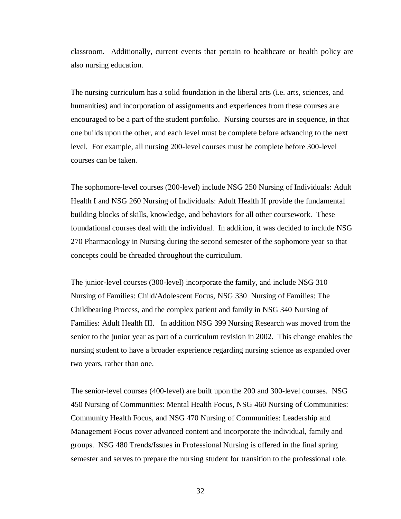classroom. Additionally, current events that pertain to healthcare or health policy are also nursing education.

The nursing curriculum has a solid foundation in the liberal arts (i.e. arts, sciences, and humanities) and incorporation of assignments and experiences from these courses are encouraged to be a part of the student portfolio. Nursing courses are in sequence, in that one builds upon the other, and each level must be complete before advancing to the next level. For example, all nursing 200-level courses must be complete before 300-level courses can be taken.

The sophomore-level courses (200-level) include NSG 250 Nursing of Individuals: Adult Health I and NSG 260 Nursing of Individuals: Adult Health II provide the fundamental building blocks of skills, knowledge, and behaviors for all other coursework. These foundational courses deal with the individual. In addition, it was decided to include NSG 270 Pharmacology in Nursing during the second semester of the sophomore year so that concepts could be threaded throughout the curriculum.

The junior-level courses (300-level) incorporate the family, and include NSG 310 Nursing of Families: Child/Adolescent Focus, NSG 330 Nursing of Families: The Childbearing Process, and the complex patient and family in NSG 340 Nursing of Families: Adult Health III. In addition NSG 399 Nursing Research was moved from the senior to the junior year as part of a curriculum revision in 2002. This change enables the nursing student to have a broader experience regarding nursing science as expanded over two years, rather than one.

The senior-level courses (400-level) are built upon the 200 and 300-level courses. NSG 450 Nursing of Communities: Mental Health Focus, NSG 460 Nursing of Communities: Community Health Focus, and NSG 470 Nursing of Communities: Leadership and Management Focus cover advanced content and incorporate the individual, family and groups. NSG 480 Trends/Issues in Professional Nursing is offered in the final spring semester and serves to prepare the nursing student for transition to the professional role.

32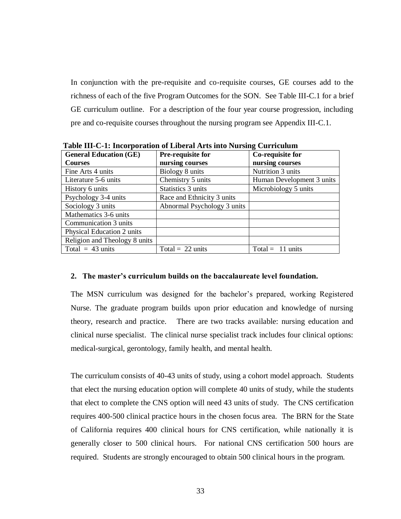In conjunction with the pre-requisite and co-requisite courses, GE courses add to the richness of each of the five Program Outcomes for the SON. See Table III-C.1 for a brief GE curriculum outline. For a description of the four year course progression, including pre and co-requisite courses throughout the nursing program see Appendix III-C.1.

| Table III-C-1. Incorporation or Liberal Arts into Nursing Curriculum |                             |                            |  |  |  |
|----------------------------------------------------------------------|-----------------------------|----------------------------|--|--|--|
| <b>General Education (GE)</b>                                        | Pre-requisite for           | Co-requisite for           |  |  |  |
| <b>Courses</b>                                                       | nursing courses             | nursing courses            |  |  |  |
| Fine Arts 4 units                                                    | Biology 8 units             | Nutrition 3 units          |  |  |  |
| Literature 5-6 units                                                 | Chemistry 5 units           | Human Development 3 units  |  |  |  |
| History 6 units                                                      | Statistics 3 units          | Microbiology 5 units       |  |  |  |
| Psychology 3-4 units                                                 | Race and Ethnicity 3 units  |                            |  |  |  |
| Sociology 3 units                                                    | Abnormal Psychology 3 units |                            |  |  |  |
| Mathematics 3-6 units                                                |                             |                            |  |  |  |
| Communication 3 units                                                |                             |                            |  |  |  |
| Physical Education 2 units                                           |                             |                            |  |  |  |
| Religion and Theology 8 units                                        |                             |                            |  |  |  |
| Total $= 43$ units                                                   | Total = $22 \text{ units}$  | Total = $11 \text{ units}$ |  |  |  |

 **Table III-C-1: Incorporation of Liberal Arts into Nursing Curriculum**

#### **2. The master's curriculum builds on the baccalaureate level foundation.**

The MSN curriculum was designed for the bachelor's prepared, working Registered Nurse. The graduate program builds upon prior education and knowledge of nursing theory, research and practice. There are two tracks available: nursing education and clinical nurse specialist. The clinical nurse specialist track includes four clinical options: medical-surgical, gerontology, family health, and mental health.

The curriculum consists of 40-43 units of study, using a cohort model approach. Students that elect the nursing education option will complete 40 units of study, while the students that elect to complete the CNS option will need 43 units of study. The CNS certification requires 400-500 clinical practice hours in the chosen focus area. The BRN for the State of California requires 400 clinical hours for CNS certification, while nationally it is generally closer to 500 clinical hours. For national CNS certification 500 hours are required. Students are strongly encouraged to obtain 500 clinical hours in the program.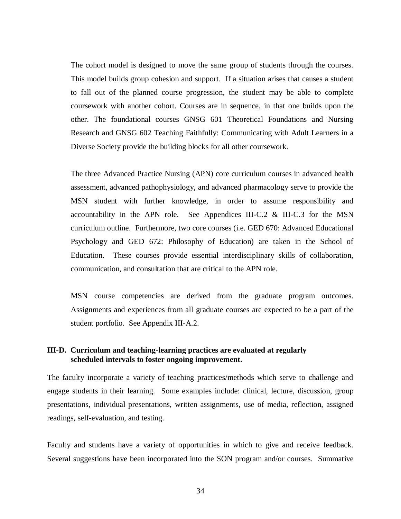The cohort model is designed to move the same group of students through the courses. This model builds group cohesion and support. If a situation arises that causes a student to fall out of the planned course progression, the student may be able to complete coursework with another cohort. Courses are in sequence, in that one builds upon the other. The foundational courses GNSG 601 Theoretical Foundations and Nursing Research and GNSG 602 Teaching Faithfully: Communicating with Adult Learners in a Diverse Society provide the building blocks for all other coursework.

The three Advanced Practice Nursing (APN) core curriculum courses in advanced health assessment, advanced pathophysiology, and advanced pharmacology serve to provide the MSN student with further knowledge, in order to assume responsibility and accountability in the APN role. See Appendices III-C.2  $\&$  III-C.3 for the MSN curriculum outline. Furthermore, two core courses (i.e. GED 670: Advanced Educational Psychology and GED 672: Philosophy of Education) are taken in the School of Education. These courses provide essential interdisciplinary skills of collaboration, communication, and consultation that are critical to the APN role.

MSN course competencies are derived from the graduate program outcomes. Assignments and experiences from all graduate courses are expected to be a part of the student portfolio. See Appendix III-A.2.

# **III-D. Curriculum and teaching-learning practices are evaluated at regularly scheduled intervals to foster ongoing improvement.**

The faculty incorporate a variety of teaching practices/methods which serve to challenge and engage students in their learning. Some examples include: clinical, lecture, discussion, group presentations, individual presentations, written assignments, use of media, reflection, assigned readings, self-evaluation, and testing.

Faculty and students have a variety of opportunities in which to give and receive feedback. Several suggestions have been incorporated into the SON program and/or courses. Summative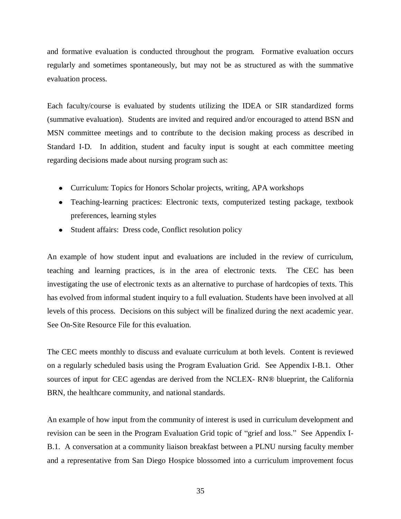and formative evaluation is conducted throughout the program. Formative evaluation occurs regularly and sometimes spontaneously, but may not be as structured as with the summative evaluation process.

Each faculty/course is evaluated by students utilizing the IDEA or SIR standardized forms (summative evaluation). Students are invited and required and/or encouraged to attend BSN and MSN committee meetings and to contribute to the decision making process as described in Standard I-D. In addition, student and faculty input is sought at each committee meeting regarding decisions made about nursing program such as:

- Curriculum: Topics for Honors Scholar projects, writing, APA workshops
- Teaching-learning practices: Electronic texts, computerized testing package, textbook preferences, learning styles
- Student affairs: Dress code, Conflict resolution policy

An example of how student input and evaluations are included in the review of curriculum, teaching and learning practices, is in the area of electronic texts. The CEC has been investigating the use of electronic texts as an alternative to purchase of hardcopies of texts. This has evolved from informal student inquiry to a full evaluation. Students have been involved at all levels of this process. Decisions on this subject will be finalized during the next academic year. See On-Site Resource File for this evaluation.

The CEC meets monthly to discuss and evaluate curriculum at both levels. Content is reviewed on a regularly scheduled basis using the Program Evaluation Grid. See Appendix I-B.1. Other sources of input for CEC agendas are derived from the NCLEX- RN® blueprint, the California BRN, the healthcare community, and national standards.

An example of how input from the community of interest is used in curriculum development and revision can be seen in the Program Evaluation Grid topic of "grief and loss." See Appendix I-B.1. A conversation at a community liaison breakfast between a PLNU nursing faculty member and a representative from San Diego Hospice blossomed into a curriculum improvement focus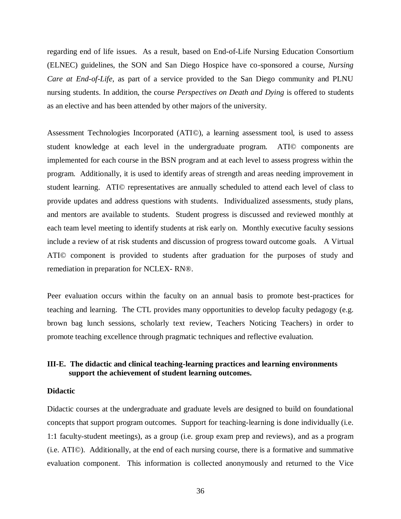regarding end of life issues. As a result, based on End-of-Life Nursing Education Consortium (ELNEC) guidelines, the SON and San Diego Hospice have co-sponsored a course, *Nursing Care at End-of-Life*, as part of a service provided to the San Diego community and PLNU nursing students. In addition, the course *Perspectives on Death and Dying* is offered to students as an elective and has been attended by other majors of the university.

Assessment Technologies Incorporated (ATI©), a learning assessment tool, is used to assess student knowledge at each level in the undergraduate program. ATI© components are implemented for each course in the BSN program and at each level to assess progress within the program. Additionally, it is used to identify areas of strength and areas needing improvement in student learning. ATI© representatives are annually scheduled to attend each level of class to provide updates and address questions with students. Individualized assessments, study plans, and mentors are available to students. Student progress is discussed and reviewed monthly at each team level meeting to identify students at risk early on. Monthly executive faculty sessions include a review of at risk students and discussion of progress toward outcome goals. A Virtual ATI© component is provided to students after graduation for the purposes of study and remediation in preparation for NCLEX- RN®.

Peer evaluation occurs within the faculty on an annual basis to promote best-practices for teaching and learning. The CTL provides many opportunities to develop faculty pedagogy (e.g. brown bag lunch sessions, scholarly text review, Teachers Noticing Teachers) in order to promote teaching excellence through pragmatic techniques and reflective evaluation.

# **III-E. The didactic and clinical teaching-learning practices and learning environments support the achievement of student learning outcomes.**

#### **Didactic**

Didactic courses at the undergraduate and graduate levels are designed to build on foundational concepts that support program outcomes. Support for teaching-learning is done individually (i.e. 1:1 faculty-student meetings), as a group (i.e. group exam prep and reviews), and as a program (i.e. ATI©). Additionally, at the end of each nursing course, there is a formative and summative evaluation component. This information is collected anonymously and returned to the Vice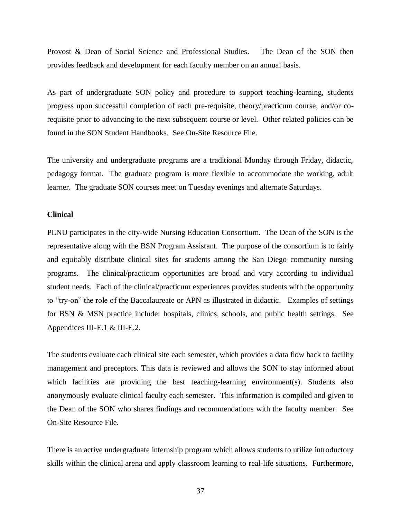Provost & Dean of Social Science and Professional Studies. The Dean of the SON then provides feedback and development for each faculty member on an annual basis.

As part of undergraduate SON policy and procedure to support teaching-learning, students progress upon successful completion of each pre-requisite, theory/practicum course, and/or corequisite prior to advancing to the next subsequent course or level. Other related policies can be found in the SON Student Handbooks. See On-Site Resource File.

The university and undergraduate programs are a traditional Monday through Friday, didactic, pedagogy format. The graduate program is more flexible to accommodate the working, adult learner. The graduate SON courses meet on Tuesday evenings and alternate Saturdays.

#### **Clinical**

PLNU participates in the city-wide Nursing Education Consortium. The Dean of the SON is the representative along with the BSN Program Assistant. The purpose of the consortium is to fairly and equitably distribute clinical sites for students among the San Diego community nursing programs. The clinical/practicum opportunities are broad and vary according to individual student needs. Each of the clinical/practicum experiences provides students with the opportunity to "try-on" the role of the Baccalaureate or APN as illustrated in didactic. Examples of settings for BSN & MSN practice include: hospitals, clinics, schools, and public health settings. See Appendices III-E.1 & III-E.2.

The students evaluate each clinical site each semester, which provides a data flow back to facility management and preceptors. This data is reviewed and allows the SON to stay informed about which facilities are providing the best teaching-learning environment(s). Students also anonymously evaluate clinical faculty each semester. This information is compiled and given to the Dean of the SON who shares findings and recommendations with the faculty member. See On-Site Resource File.

There is an active undergraduate internship program which allows students to utilize introductory skills within the clinical arena and apply classroom learning to real-life situations. Furthermore,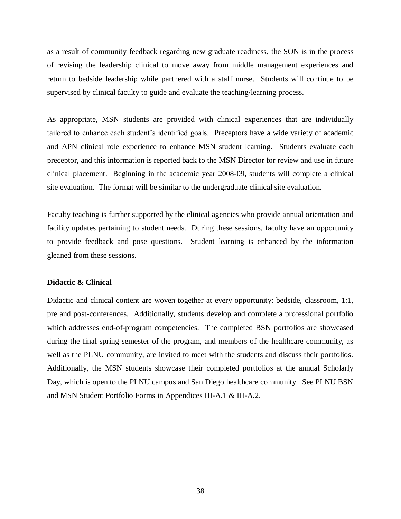as a result of community feedback regarding new graduate readiness, the SON is in the process of revising the leadership clinical to move away from middle management experiences and return to bedside leadership while partnered with a staff nurse. Students will continue to be supervised by clinical faculty to guide and evaluate the teaching/learning process.

As appropriate, MSN students are provided with clinical experiences that are individually tailored to enhance each student's identified goals. Preceptors have a wide variety of academic and APN clinical role experience to enhance MSN student learning. Students evaluate each preceptor, and this information is reported back to the MSN Director for review and use in future clinical placement. Beginning in the academic year 2008-09, students will complete a clinical site evaluation. The format will be similar to the undergraduate clinical site evaluation.

Faculty teaching is further supported by the clinical agencies who provide annual orientation and facility updates pertaining to student needs. During these sessions, faculty have an opportunity to provide feedback and pose questions. Student learning is enhanced by the information gleaned from these sessions.

#### **Didactic & Clinical**

Didactic and clinical content are woven together at every opportunity: bedside, classroom, 1:1, pre and post-conferences. Additionally, students develop and complete a professional portfolio which addresses end-of-program competencies. The completed BSN portfolios are showcased during the final spring semester of the program, and members of the healthcare community, as well as the PLNU community, are invited to meet with the students and discuss their portfolios. Additionally, the MSN students showcase their completed portfolios at the annual Scholarly Day, which is open to the PLNU campus and San Diego healthcare community. See PLNU BSN and MSN Student Portfolio Forms in Appendices III-A.1 & III-A.2.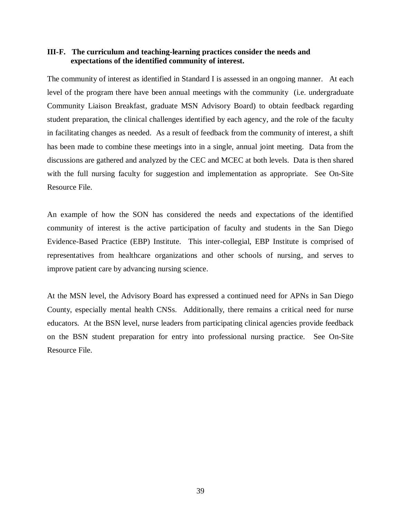### **III-F. The curriculum and teaching-learning practices consider the needs and expectations of the identified community of interest.**

The community of interest as identified in Standard I is assessed in an ongoing manner. At each level of the program there have been annual meetings with the community (i.e. undergraduate Community Liaison Breakfast, graduate MSN Advisory Board) to obtain feedback regarding student preparation, the clinical challenges identified by each agency, and the role of the faculty in facilitating changes as needed. As a result of feedback from the community of interest, a shift has been made to combine these meetings into in a single, annual joint meeting. Data from the discussions are gathered and analyzed by the CEC and MCEC at both levels. Data is then shared with the full nursing faculty for suggestion and implementation as appropriate. See On-Site Resource File.

An example of how the SON has considered the needs and expectations of the identified community of interest is the active participation of faculty and students in the San Diego Evidence-Based Practice (EBP) Institute. This inter-collegial, EBP Institute is comprised of representatives from healthcare organizations and other schools of nursing, and serves to improve patient care by advancing nursing science.

At the MSN level, the Advisory Board has expressed a continued need for APNs in San Diego County, especially mental health CNSs. Additionally, there remains a critical need for nurse educators. At the BSN level, nurse leaders from participating clinical agencies provide feedback on the BSN student preparation for entry into professional nursing practice. See On-Site Resource File.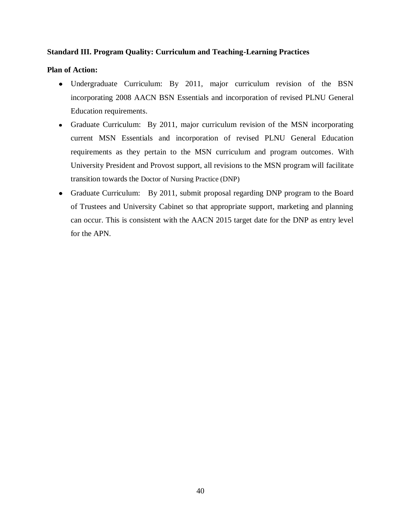# **Standard III. Program Quality: Curriculum and Teaching-Learning Practices**

# **Plan of Action:**

- Undergraduate Curriculum: By 2011, major curriculum revision of the BSN incorporating 2008 AACN BSN Essentials and incorporation of revised PLNU General Education requirements.
- Graduate Curriculum: By 2011, major curriculum revision of the MSN incorporating current MSN Essentials and incorporation of revised PLNU General Education requirements as they pertain to the MSN curriculum and program outcomes. With University President and Provost support, all revisions to the MSN program will facilitate transition towards the Doctor of Nursing Practice (DNP)
- Graduate Curriculum: By 2011, submit proposal regarding DNP program to the Board of Trustees and University Cabinet so that appropriate support, marketing and planning can occur. This is consistent with the AACN 2015 target date for the DNP as entry level for the APN.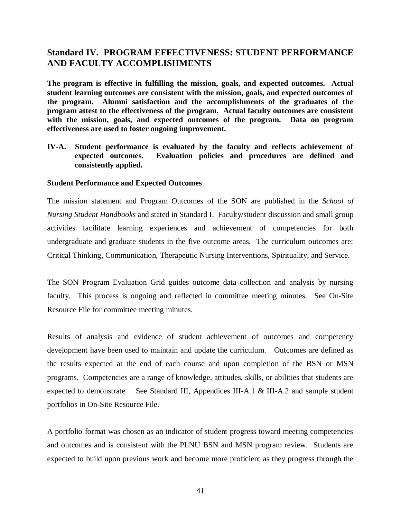# **Standard IV. PROGRAM EFFECTIVENESS: STUDENT PERFORMANCE AND FACULTY ACCOMPLISHMENTS**

**The program is effective in fulfilling the mission, goals, and expected outcomes. Actual student learning outcomes are consistent with the mission, goals, and expected outcomes of the program. Alumni satisfaction and the accomplishments of the graduates of the program attest to the effectiveness of the program. Actual faculty outcomes are consistent with the mission, goals, and expected outcomes of the program. Data on program effectiveness are used to foster ongoing improvement.** 

**IV-A. Student performance is evaluated by the faculty and reflects achievement of expected outcomes. Evaluation policies and procedures are defined and consistently applied.**

### **Student Performance and Expected Outcomes**

The mission statement and Program Outcomes of the SON are published in the *School of Nursing Student Handbooks* and stated in Standard I. Faculty/student discussion and small group activities facilitate learning experiences and achievement of competencies for both undergraduate and graduate students in the five outcome areas. The curriculum outcomes are: Critical Thinking, Communication, Therapeutic Nursing Interventions, Spirituality, and Service.

The SON Program Evaluation Grid guides outcome data collection and analysis by nursing faculty. This process is ongoing and reflected in committee meeting minutes. See On-Site Resource File for committee meeting minutes.

Results of analysis and evidence of student achievement of outcomes and competency development have been used to maintain and update the curriculum. Outcomes are defined as the results expected at the end of each course and upon completion of the BSN or MSN programs. Competencies are a range of knowledge, attitudes, skills, or abilities that students are expected to demonstrate. See Standard III, Appendices III-A.1 & III-A.2 and sample student portfolios in On-Site Resource File.

A portfolio format was chosen as an indicator of student progress toward meeting competencies and outcomes and is consistent with the PLNU BSN and MSN program review. Students are expected to build upon previous work and become more proficient as they progress through the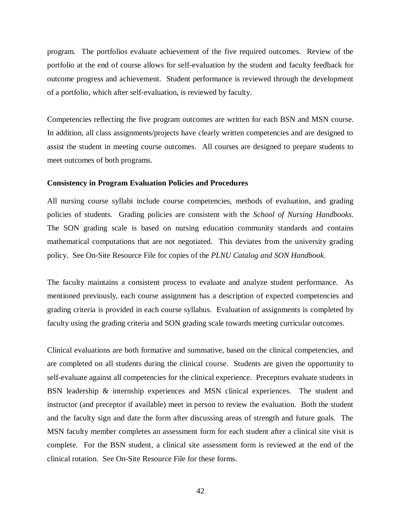program. The portfolios evaluate achievement of the five required outcomes. Review of the portfolio at the end of course allows for self-evaluation by the student and faculty feedback for outcome progress and achievement. Student performance is reviewed through the development of a portfolio, which after self-evaluation, is reviewed by faculty.

Competencies reflecting the five program outcomes are written for each BSN and MSN course. In addition, all class assignments/projects have clearly written competencies and are designed to assist the student in meeting course outcomes. All courses are designed to prepare students to meet outcomes of both programs.

#### **Consistency in Program Evaluation Policies and Procedures**

All nursing course syllabi include course competencies, methods of evaluation, and grading policies of students. Grading policies are consistent with the *School of Nursing Handbooks*. The SON grading scale is based on nursing education community standards and contains mathematical computations that are not negotiated. This deviates from the university grading policy. See On-Site Resource File for copies of the *PLNU Catalog and SON Handbook*.

The faculty maintains a consistent process to evaluate and analyze student performance. As mentioned previously, each course assignment has a description of expected competencies and grading criteria is provided in each course syllabus. Evaluation of assignments is completed by faculty using the grading criteria and SON grading scale towards meeting curricular outcomes.

Clinical evaluations are both formative and summative, based on the clinical competencies, and are completed on all students during the clinical course. Students are given the opportunity to self-evaluate against all competencies for the clinical experience. Preceptors evaluate students in BSN leadership & internship experiences and MSN clinical experiences. The student and instructor (and preceptor if available) meet in person to review the evaluation. Both the student and the faculty sign and date the form after discussing areas of strength and future goals. The MSN faculty member completes an assessment form for each student after a clinical site visit is complete. For the BSN student, a clinical site assessment form is reviewed at the end of the clinical rotation. See On-Site Resource File for these forms.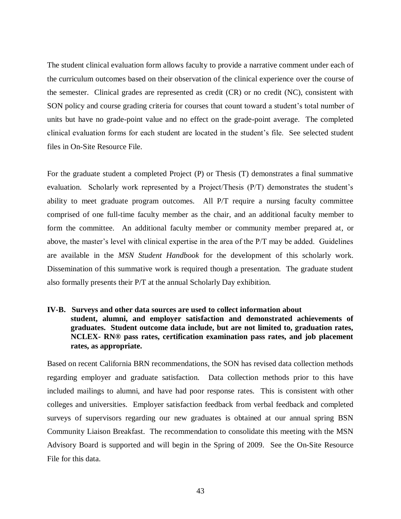The student clinical evaluation form allows faculty to provide a narrative comment under each of the curriculum outcomes based on their observation of the clinical experience over the course of the semester. Clinical grades are represented as credit (CR) or no credit (NC), consistent with SON policy and course grading criteria for courses that count toward a student's total number of units but have no grade-point value and no effect on the grade-point average. The completed clinical evaluation forms for each student are located in the student's file. See selected student files in On-Site Resource File.

For the graduate student a completed Project (P) or Thesis (T) demonstrates a final summative evaluation. Scholarly work represented by a Project/Thesis (P/T) demonstrates the student's ability to meet graduate program outcomes. All P/T require a nursing faculty committee comprised of one full-time faculty member as the chair, and an additional faculty member to form the committee. An additional faculty member or community member prepared at, or above, the master's level with clinical expertise in the area of the P/T may be added. Guidelines are available in the *MSN Student Handbook* for the development of this scholarly work. Dissemination of this summative work is required though a presentation. The graduate student also formally presents their P/T at the annual Scholarly Day exhibition.

# **IV-B. Surveys and other data sources are used to collect information about student, alumni, and employer satisfaction and demonstrated achievements of graduates. Student outcome data include, but are not limited to, graduation rates, NCLEX- RN® pass rates, certification examination pass rates, and job placement rates, as appropriate.**

Based on recent California BRN recommendations, the SON has revised data collection methods regarding employer and graduate satisfaction. Data collection methods prior to this have included mailings to alumni, and have had poor response rates. This is consistent with other colleges and universities. Employer satisfaction feedback from verbal feedback and completed surveys of supervisors regarding our new graduates is obtained at our annual spring BSN Community Liaison Breakfast. The recommendation to consolidate this meeting with the MSN Advisory Board is supported and will begin in the Spring of 2009. See the On-Site Resource File for this data.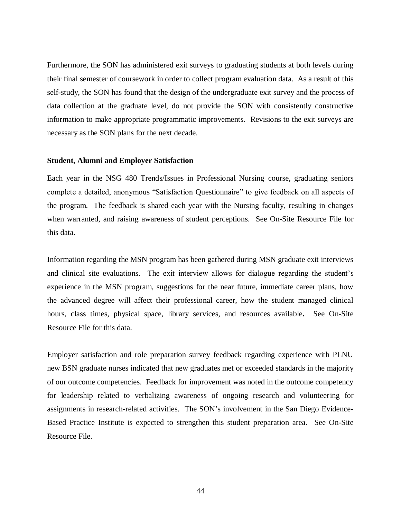Furthermore, the SON has administered exit surveys to graduating students at both levels during their final semester of coursework in order to collect program evaluation data. As a result of this self-study, the SON has found that the design of the undergraduate exit survey and the process of data collection at the graduate level, do not provide the SON with consistently constructive information to make appropriate programmatic improvements. Revisions to the exit surveys are necessary as the SON plans for the next decade.

#### **Student, Alumni and Employer Satisfaction**

Each year in the NSG 480 Trends/Issues in Professional Nursing course, graduating seniors complete a detailed, anonymous "Satisfaction Questionnaire" to give feedback on all aspects of the program. The feedback is shared each year with the Nursing faculty, resulting in changes when warranted, and raising awareness of student perceptions. See On-Site Resource File for this data.

Information regarding the MSN program has been gathered during MSN graduate exit interviews and clinical site evaluations. The exit interview allows for dialogue regarding the student's experience in the MSN program, suggestions for the near future, immediate career plans, how the advanced degree will affect their professional career, how the student managed clinical hours, class times, physical space, library services, and resources available*.* See On-Site Resource File for this data.

Employer satisfaction and role preparation survey feedback regarding experience with PLNU new BSN graduate nurses indicated that new graduates met or exceeded standards in the majority of our outcome competencies. Feedback for improvement was noted in the outcome competency for leadership related to verbalizing awareness of ongoing research and volunteering for assignments in research-related activities. The SON's involvement in the San Diego Evidence-Based Practice Institute is expected to strengthen this student preparation area. See On-Site Resource File.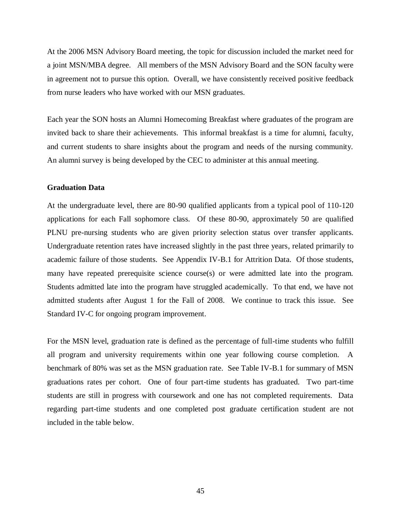At the 2006 MSN Advisory Board meeting, the topic for discussion included the market need for a joint MSN/MBA degree. All members of the MSN Advisory Board and the SON faculty were in agreement not to pursue this option. Overall, we have consistently received positive feedback from nurse leaders who have worked with our MSN graduates.

Each year the SON hosts an Alumni Homecoming Breakfast where graduates of the program are invited back to share their achievements. This informal breakfast is a time for alumni, faculty, and current students to share insights about the program and needs of the nursing community. An alumni survey is being developed by the CEC to administer at this annual meeting.

### **Graduation Data**

At the undergraduate level, there are 80-90 qualified applicants from a typical pool of 110-120 applications for each Fall sophomore class. Of these 80-90, approximately 50 are qualified PLNU pre-nursing students who are given priority selection status over transfer applicants. Undergraduate retention rates have increased slightly in the past three years, related primarily to academic failure of those students. See Appendix IV-B.1 for Attrition Data. Of those students, many have repeated prerequisite science course(s) or were admitted late into the program. Students admitted late into the program have struggled academically. To that end, we have not admitted students after August 1 for the Fall of 2008. We continue to track this issue. See Standard IV-C for ongoing program improvement.

For the MSN level, graduation rate is defined as the percentage of full-time students who fulfill all program and university requirements within one year following course completion. A benchmark of 80% was set as the MSN graduation rate. See Table IV-B.1 for summary of MSN graduations rates per cohort. One of four part-time students has graduated. Two part-time students are still in progress with coursework and one has not completed requirements. Data regarding part-time students and one completed post graduate certification student are not included in the table below.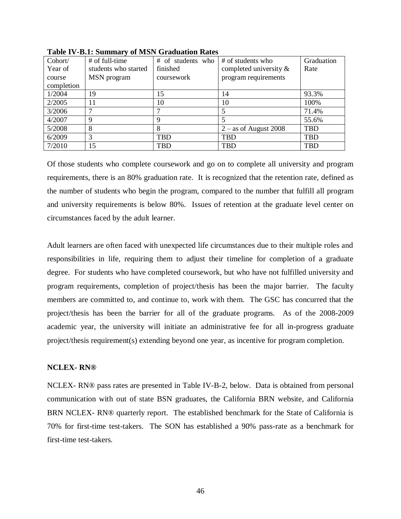| Cohort/    | # of full-time       | # of students who | # of students who         | Graduation |
|------------|----------------------|-------------------|---------------------------|------------|
| Year of    | students who started | finished          | completed university $\&$ | Rate       |
| course     | MSN program          | coursework        | program requirements      |            |
| completion |                      |                   |                           |            |
| 1/2004     | 19                   | 15                | 14                        | 93.3%      |
| 2/2005     | 11                   | 10                | 10                        | 100%       |
| 3/2006     |                      |                   | 5                         | 71.4%      |
| 4/2007     | 9                    | 9                 |                           | 55.6%      |
| 5/2008     | 8                    | 8                 | $2 -$ as of August 2008   | <b>TBD</b> |
| 6/2009     | 3                    | TBD               | TBD                       | <b>TBD</b> |
| 7/2010     | 15                   | TBD               | <b>TBD</b>                | <b>TBD</b> |

**Table IV-B.1: Summary of MSN Graduation Rates**

Of those students who complete coursework and go on to complete all university and program requirements, there is an 80% graduation rate. It is recognized that the retention rate, defined as the number of students who begin the program, compared to the number that fulfill all program and university requirements is below 80%. Issues of retention at the graduate level center on circumstances faced by the adult learner.

Adult learners are often faced with unexpected life circumstances due to their multiple roles and responsibilities in life, requiring them to adjust their timeline for completion of a graduate degree. For students who have completed coursework, but who have not fulfilled university and program requirements, completion of project/thesis has been the major barrier. The faculty members are committed to, and continue to, work with them.The GSC has concurred that the project/thesis has been the barrier for all of the graduate programs. As of the 2008-2009 academic year, the university will initiate an administrative fee for all in-progress graduate project/thesis requirement(s) extending beyond one year, as incentive for program completion.

### **NCLEX- RN®**

NCLEX- RN® pass rates are presented in Table IV-B-2, below. Data is obtained from personal communication with out of state BSN graduates, the California BRN website, and California BRN NCLEX- RN® quarterly report. The established benchmark for the State of California is 70% for first-time test-takers. The SON has established a 90% pass-rate as a benchmark for first-time test-takers.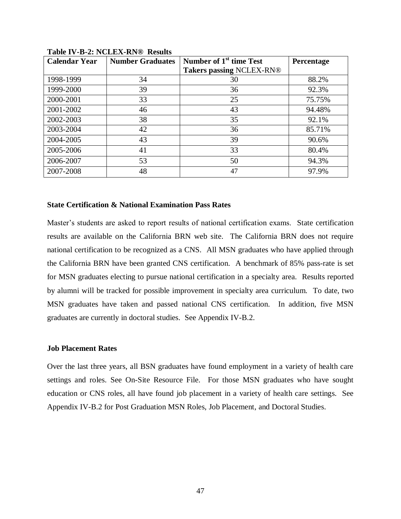| <b>Calendar Year</b> | <b>Number Graduates</b> | Number of 1 <sup>st</sup> time Test | <b>Percentage</b> |
|----------------------|-------------------------|-------------------------------------|-------------------|
|                      |                         | <b>Takers passing NCLEX-RN®</b>     |                   |
| 1998-1999            | 34                      | 30                                  | 88.2%             |
| 1999-2000            | 39                      | 36                                  | 92.3%             |
| 2000-2001            | 33                      | 25                                  | 75.75%            |
| 2001-2002            | 46                      | 43                                  | 94.48%            |
| 2002-2003            | 38                      | 35                                  | 92.1%             |
| 2003-2004            | 42                      | 36                                  | 85.71%            |
| 2004-2005            | 43                      | 39                                  | 90.6%             |
| 2005-2006            | 41                      | 33                                  | 80.4%             |
| 2006-2007            | 53                      | 50                                  | 94.3%             |
| 2007-2008            | 48                      | 47                                  | 97.9%             |

**Table IV-B-2: NCLEX-RN® Results**

#### **State Certification & National Examination Pass Rates**

Master's students are asked to report results of national certification exams. State certification results are available on the California BRN web site. The California BRN does not require national certification to be recognized as a CNS. All MSN graduates who have applied through the California BRN have been granted CNS certification. A benchmark of 85% pass-rate is set for MSN graduates electing to pursue national certification in a specialty area. Results reported by alumni will be tracked for possible improvement in specialty area curriculum. To date, two MSN graduates have taken and passed national CNS certification. In addition, five MSN graduates are currently in doctoral studies. See Appendix IV-B.2.

#### **Job Placement Rates**

Over the last three years, all BSN graduates have found employment in a variety of health care settings and roles. See On-Site Resource File. For those MSN graduates who have sought education or CNS roles, all have found job placement in a variety of health care settings. See Appendix IV-B.2 for Post Graduation MSN Roles, Job Placement, and Doctoral Studies.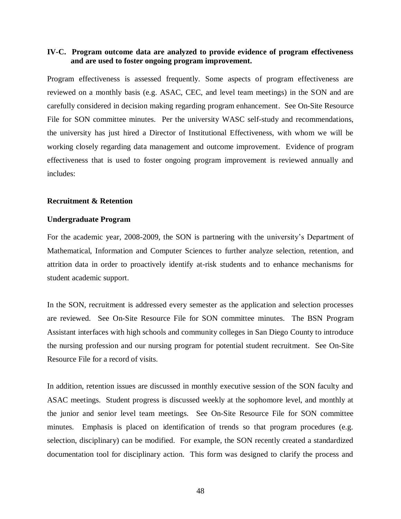### **IV-C. Program outcome data are analyzed to provide evidence of program effectiveness and are used to foster ongoing program improvement.**

Program effectiveness is assessed frequently. Some aspects of program effectiveness are reviewed on a monthly basis (e.g. ASAC, CEC, and level team meetings) in the SON and are carefully considered in decision making regarding program enhancement. See On-Site Resource File for SON committee minutes. Per the university WASC self-study and recommendations, the university has just hired a Director of Institutional Effectiveness, with whom we will be working closely regarding data management and outcome improvement. Evidence of program effectiveness that is used to foster ongoing program improvement is reviewed annually and includes:

#### **Recruitment & Retention**

#### **Undergraduate Program**

For the academic year, 2008-2009, the SON is partnering with the university's Department of Mathematical, Information and Computer Sciences to further analyze selection, retention, and attrition data in order to proactively identify at-risk students and to enhance mechanisms for student academic support.

In the SON, recruitment is addressed every semester as the application and selection processes are reviewed. See On-Site Resource File for SON committee minutes. The BSN Program Assistant interfaces with high schools and community colleges in San Diego County to introduce the nursing profession and our nursing program for potential student recruitment. See On-Site Resource File for a record of visits.

In addition, retention issues are discussed in monthly executive session of the SON faculty and ASAC meetings. Student progress is discussed weekly at the sophomore level, and monthly at the junior and senior level team meetings. See On-Site Resource File for SON committee minutes. Emphasis is placed on identification of trends so that program procedures (e.g. selection, disciplinary) can be modified. For example, the SON recently created a standardized documentation tool for disciplinary action. This form was designed to clarify the process and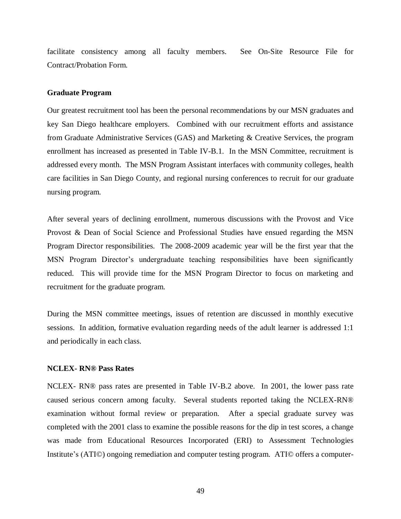facilitate consistency among all faculty members. See On-Site Resource File for Contract/Probation Form.

#### **Graduate Program**

Our greatest recruitment tool has been the personal recommendations by our MSN graduates and key San Diego healthcare employers. Combined with our recruitment efforts and assistance from Graduate Administrative Services (GAS) and Marketing & Creative Services, the program enrollment has increased as presented in Table IV-B.1. In the MSN Committee, recruitment is addressed every month. The MSN Program Assistant interfaces with community colleges, health care facilities in San Diego County, and regional nursing conferences to recruit for our graduate nursing program.

After several years of declining enrollment, numerous discussions with the Provost and Vice Provost & Dean of Social Science and Professional Studies have ensued regarding the MSN Program Director responsibilities. The 2008-2009 academic year will be the first year that the MSN Program Director's undergraduate teaching responsibilities have been significantly reduced. This will provide time for the MSN Program Director to focus on marketing and recruitment for the graduate program.

During the MSN committee meetings, issues of retention are discussed in monthly executive sessions. In addition, formative evaluation regarding needs of the adult learner is addressed 1:1 and periodically in each class.

#### **NCLEX- RN® Pass Rates**

NCLEX- RN® pass rates are presented in Table IV-B.2 above. In 2001, the lower pass rate caused serious concern among faculty. Several students reported taking the NCLEX-RN® examination without formal review or preparation. After a special graduate survey was completed with the 2001 class to examine the possible reasons for the dip in test scores, a change was made from Educational Resources Incorporated (ERI) to Assessment Technologies Institute's (ATI©) ongoing remediation and computer testing program. ATI© offers a computer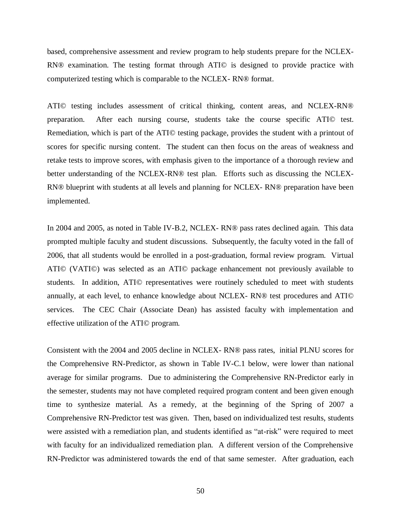based, comprehensive assessment and review program to help students prepare for the NCLEX-RN® examination. The testing format through ATI© is designed to provide practice with computerized testing which is comparable to the NCLEX- RN® format.

ATI© testing includes assessment of critical thinking, content areas, and NCLEX-RN® preparation. After each nursing course, students take the course specific ATI© test. Remediation, which is part of the ATI© testing package, provides the student with a printout of scores for specific nursing content. The student can then focus on the areas of weakness and retake tests to improve scores, with emphasis given to the importance of a thorough review and better understanding of the NCLEX-RN® test plan. Efforts such as discussing the NCLEX-RN® blueprint with students at all levels and planning for NCLEX- RN® preparation have been implemented.

In 2004 and 2005, as noted in Table IV-B.2, NCLEX- RN® pass rates declined again. This data prompted multiple faculty and student discussions. Subsequently, the faculty voted in the fall of 2006, that all students would be enrolled in a post-graduation, formal review program. Virtual ATI© (VATI©) was selected as an ATI© package enhancement not previously available to students. In addition, ATI© representatives were routinely scheduled to meet with students annually, at each level, to enhance knowledge about NCLEX- RN® test procedures and ATI© services. The CEC Chair (Associate Dean) has assisted faculty with implementation and effective utilization of the ATI© program.

Consistent with the 2004 and 2005 decline in NCLEX- RN® pass rates, initial PLNU scores for the Comprehensive RN-Predictor, as shown in Table IV-C.1 below, were lower than national average for similar programs. Due to administering the Comprehensive RN-Predictor early in the semester, students may not have completed required program content and been given enough time to synthesize material. As a remedy, at the beginning of the Spring of 2007 a Comprehensive RN-Predictor test was given. Then, based on individualized test results, students were assisted with a remediation plan, and students identified as "at-risk" were required to meet with faculty for an individualized remediation plan. A different version of the Comprehensive RN-Predictor was administered towards the end of that same semester. After graduation, each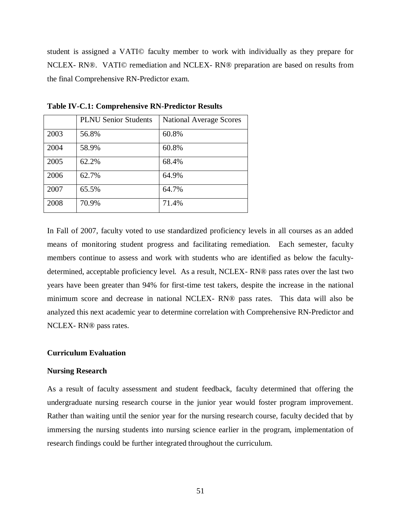student is assigned a VATI© faculty member to work with individually as they prepare for NCLEX- RN®. VATI© remediation and NCLEX- RN® preparation are based on results from the final Comprehensive RN-Predictor exam.

|      | <b>PLNU Senior Students</b> | <b>National Average Scores</b> |
|------|-----------------------------|--------------------------------|
| 2003 | 56.8%                       | 60.8%                          |
| 2004 | 58.9%                       | 60.8%                          |
| 2005 | 62.2%                       | 68.4%                          |
| 2006 | 62.7%                       | 64.9%                          |
| 2007 | 65.5%                       | 64.7%                          |
| 2008 | 70.9%                       | 71.4%                          |

**Table IV-C.1: Comprehensive RN-Predictor Results**

In Fall of 2007, faculty voted to use standardized proficiency levels in all courses as an added means of monitoring student progress and facilitating remediation. Each semester, faculty members continue to assess and work with students who are identified as below the facultydetermined, acceptable proficiency level. As a result, NCLEX- RN® pass rates over the last two years have been greater than 94% for first-time test takers, despite the increase in the national minimum score and decrease in national NCLEX- RN® pass rates. This data will also be analyzed this next academic year to determine correlation with Comprehensive RN-Predictor and NCLEX- RN® pass rates.

#### **Curriculum Evaluation**

#### **Nursing Research**

As a result of faculty assessment and student feedback, faculty determined that offering the undergraduate nursing research course in the junior year would foster program improvement. Rather than waiting until the senior year for the nursing research course, faculty decided that by immersing the nursing students into nursing science earlier in the program, implementation of research findings could be further integrated throughout the curriculum.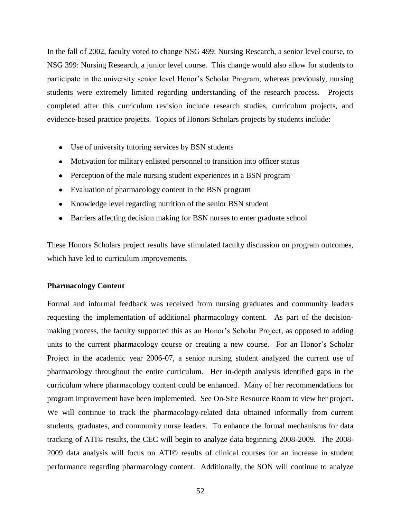In the fall of 2002, faculty voted to change NSG 499: Nursing Research, a senior level course, to NSG 399: Nursing Research, a junior level course. This change would also allow for students to participate in the university senior level Honor's Scholar Program, whereas previously, nursing students were extremely limited regarding understanding of the research process. Projects completed after this curriculum revision include research studies, curriculum projects, and evidence-based practice projects. Topics of Honors Scholars projects by students include:

- Use of university tutoring services by BSN students
- Motivation for military enlisted personnel to transition into officer status
- Perception of the male nursing student experiences in a BSN program
- Evaluation of pharmacology content in the BSN program
- Knowledge level regarding nutrition of the senior BSN student
- Barriers affecting decision making for BSN nurses to enter graduate school

These Honors Scholars project results have stimulated faculty discussion on program outcomes, which have led to curriculum improvements.

#### **Pharmacology Content**

Formal and informal feedback was received from nursing graduates and community leaders requesting the implementation of additional pharmacology content. As part of the decisionmaking process, the faculty supported this as an Honor's Scholar Project, as opposed to adding units to the current pharmacology course or creating a new course. For an Honor's Scholar Project in the academic year 2006-07, a senior nursing student analyzed the current use of pharmacology throughout the entire curriculum. Her in-depth analysis identified gaps in the curriculum where pharmacology content could be enhanced. Many of her recommendations for program improvement have been implemented. See On-Site Resource Room to view her project. We will continue to track the pharmacology-related data obtained informally from current students, graduates, and community nurse leaders. To enhance the formal mechanisms for data tracking of ATI© results, the CEC will begin to analyze data beginning 2008-2009. The 2008- 2009 data analysis will focus on ATI© results of clinical courses for an increase in student performance regarding pharmacology content. Additionally, the SON will continue to analyze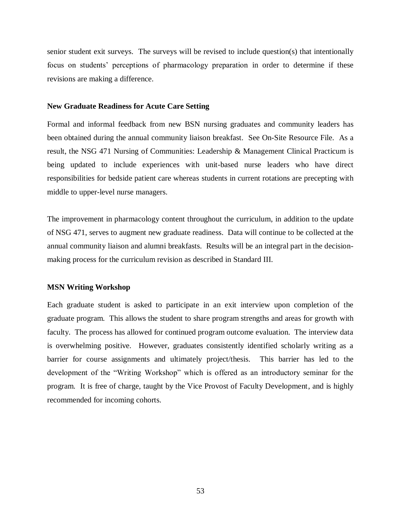senior student exit surveys. The surveys will be revised to include question(s) that intentionally focus on students' perceptions of pharmacology preparation in order to determine if these revisions are making a difference.

#### **New Graduate Readiness for Acute Care Setting**

Formal and informal feedback from new BSN nursing graduates and community leaders has been obtained during the annual community liaison breakfast. See On-Site Resource File. As a result, the NSG 471 Nursing of Communities: Leadership & Management Clinical Practicum is being updated to include experiences with unit-based nurse leaders who have direct responsibilities for bedside patient care whereas students in current rotations are precepting with middle to upper-level nurse managers.

The improvement in pharmacology content throughout the curriculum, in addition to the update of NSG 471, serves to augment new graduate readiness. Data will continue to be collected at the annual community liaison and alumni breakfasts. Results will be an integral part in the decisionmaking process for the curriculum revision as described in Standard III.

#### **MSN Writing Workshop**

Each graduate student is asked to participate in an exit interview upon completion of the graduate program. This allows the student to share program strengths and areas for growth with faculty. The process has allowed for continued program outcome evaluation. The interview data is overwhelming positive. However, graduates consistently identified scholarly writing as a barrier for course assignments and ultimately project/thesis. This barrier has led to the development of the "Writing Workshop" which is offered as an introductory seminar for the program. It is free of charge, taught by the Vice Provost of Faculty Development, and is highly recommended for incoming cohorts.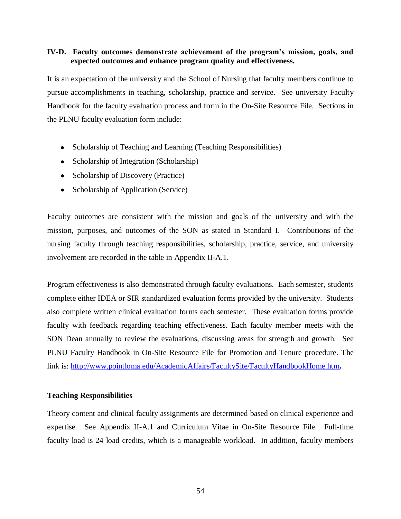### **IV-D. Faculty outcomes demonstrate achievement of the program's mission, goals, and expected outcomes and enhance program quality and effectiveness.**

It is an expectation of the university and the School of Nursing that faculty members continue to pursue accomplishments in teaching, scholarship, practice and service. See university Faculty Handbook for the faculty evaluation process and form in the On-Site Resource File. Sections in the PLNU faculty evaluation form include:

- Scholarship of Teaching and Learning (Teaching Responsibilities)
- Scholarship of Integration (Scholarship)
- Scholarship of Discovery (Practice)
- Scholarship of Application (Service)

Faculty outcomes are consistent with the mission and goals of the university and with the mission, purposes, and outcomes of the SON as stated in Standard I. Contributions of the nursing faculty through teaching responsibilities, scholarship, practice, service, and university involvement are recorded in the table in Appendix II-A.1.

Program effectiveness is also demonstrated through faculty evaluations. Each semester, students complete either IDEA or SIR standardized evaluation forms provided by the university. Students also complete written clinical evaluation forms each semester. These evaluation forms provide faculty with feedback regarding teaching effectiveness. Each faculty member meets with the SON Dean annually to review the evaluations, discussing areas for strength and growth. See PLNU Faculty Handbook in On-Site Resource File for Promotion and Tenure procedure. The link is:<http://www.pointloma.edu/AcademicAffairs/FacultySite/FacultyHandbookHome.htm>**.**

### **Teaching Responsibilities**

Theory content and clinical faculty assignments are determined based on clinical experience and expertise. See Appendix II-A.1 and Curriculum Vitae in On-Site Resource File. Full-time faculty load is 24 load credits, which is a manageable workload. In addition, faculty members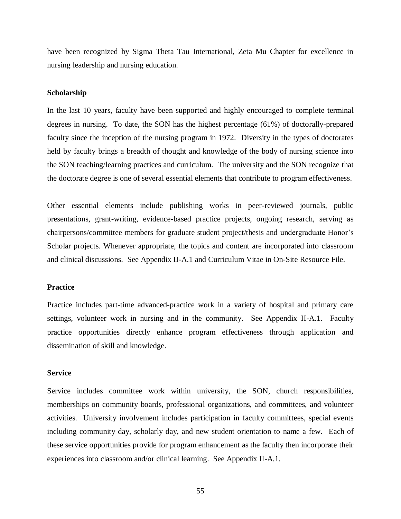have been recognized by Sigma Theta Tau International, Zeta Mu Chapter for excellence in nursing leadership and nursing education.

#### **Scholarship**

In the last 10 years, faculty have been supported and highly encouraged to complete terminal degrees in nursing. To date, the SON has the highest percentage (61%) of doctorally-prepared faculty since the inception of the nursing program in 1972. Diversity in the types of doctorates held by faculty brings a breadth of thought and knowledge of the body of nursing science into the SON teaching/learning practices and curriculum. The university and the SON recognize that the doctorate degree is one of several essential elements that contribute to program effectiveness.

Other essential elements include publishing works in peer-reviewed journals, public presentations, grant-writing, evidence-based practice projects, ongoing research, serving as chairpersons/committee members for graduate student project/thesis and undergraduate Honor's Scholar projects. Whenever appropriate, the topics and content are incorporated into classroom and clinical discussions. See Appendix II-A.1 and Curriculum Vitae in On-Site Resource File.

#### **Practice**

Practice includes part-time advanced-practice work in a variety of hospital and primary care settings, volunteer work in nursing and in the community. See Appendix II-A.1. Faculty practice opportunities directly enhance program effectiveness through application and dissemination of skill and knowledge.

#### **Service**

Service includes committee work within university, the SON, church responsibilities, memberships on community boards, professional organizations, and committees, and volunteer activities. University involvement includes participation in faculty committees, special events including community day, scholarly day, and new student orientation to name a few. Each of these service opportunities provide for program enhancement as the faculty then incorporate their experiences into classroom and/or clinical learning. See Appendix II-A.1.

55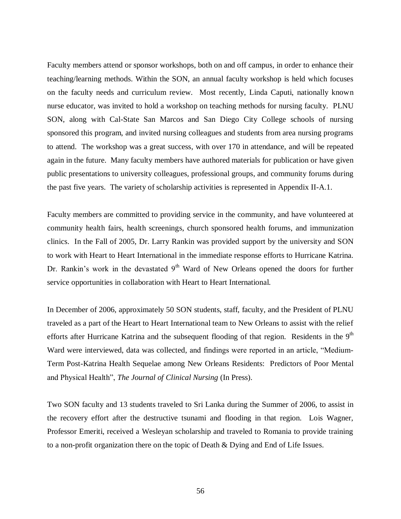Faculty members attend or sponsor workshops, both on and off campus, in order to enhance their teaching/learning methods. Within the SON, an annual faculty workshop is held which focuses on the faculty needs and curriculum review. Most recently, Linda Caputi, nationally known nurse educator, was invited to hold a workshop on teaching methods for nursing faculty. PLNU SON, along with Cal-State San Marcos and San Diego City College schools of nursing sponsored this program, and invited nursing colleagues and students from area nursing programs to attend. The workshop was a great success, with over 170 in attendance, and will be repeated again in the future. Many faculty members have authored materials for publication or have given public presentations to university colleagues, professional groups, and community forums during the past five years. The variety of scholarship activities is represented in Appendix II-A.1.

Faculty members are committed to providing service in the community, and have volunteered at community health fairs, health screenings, church sponsored health forums, and immunization clinics. In the Fall of 2005, Dr. Larry Rankin was provided support by the university and SON to work with Heart to Heart International in the immediate response efforts to Hurricane Katrina. Dr. Rankin's work in the devastated  $9<sup>th</sup>$  Ward of New Orleans opened the doors for further service opportunities in collaboration with Heart to Heart International.

In December of 2006, approximately 50 SON students, staff, faculty, and the President of PLNU traveled as a part of the Heart to Heart International team to New Orleans to assist with the relief efforts after Hurricane Katrina and the subsequent flooding of that region. Residents in the  $9<sup>th</sup>$ Ward were interviewed, data was collected, and findings were reported in an article, "Medium-Term Post-Katrina Health Sequelae among New Orleans Residents: Predictors of Poor Mental and Physical Health", *The Journal of Clinical Nursing* (In Press).

Two SON faculty and 13 students traveled to Sri Lanka during the Summer of 2006, to assist in the recovery effort after the destructive tsunami and flooding in that region. Lois Wagner, Professor Emeriti, received a Wesleyan scholarship and traveled to Romania to provide training to a non-profit organization there on the topic of Death & Dying and End of Life Issues.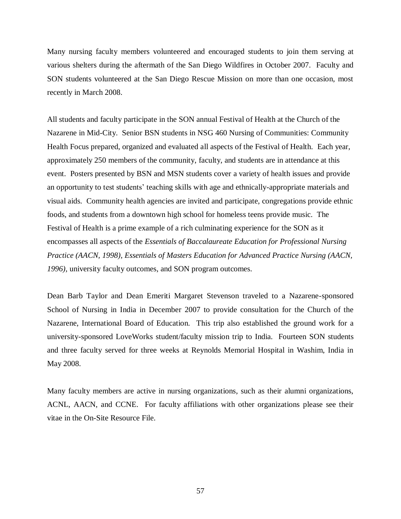Many nursing faculty members volunteered and encouraged students to join them serving at various shelters during the aftermath of the San Diego Wildfires in October 2007. Faculty and SON students volunteered at the San Diego Rescue Mission on more than one occasion, most recently in March 2008.

All students and faculty participate in the SON annual Festival of Health at the Church of the Nazarene in Mid-City. Senior BSN students in NSG 460 Nursing of Communities: Community Health Focus prepared, organized and evaluated all aspects of the Festival of Health. Each year, approximately 250 members of the community, faculty, and students are in attendance at this event. Posters presented by BSN and MSN students cover a variety of health issues and provide an opportunity to test students' teaching skills with age and ethnically-appropriate materials and visual aids. Community health agencies are invited and participate, congregations provide ethnic foods, and students from a downtown high school for homeless teens provide music. The Festival of Health is a prime example of a rich culminating experience for the SON as it encompasses all aspects of the *Essentials of Baccalaureate Education for Professional Nursing Practice (AACN, 1998), Essentials of Masters Education for Advanced Practice Nursing (AACN, 1996),* university faculty outcomes, and SON program outcomes.

Dean Barb Taylor and Dean Emeriti Margaret Stevenson traveled to a Nazarene-sponsored School of Nursing in India in December 2007 to provide consultation for the Church of the Nazarene, International Board of Education. This trip also established the ground work for a university-sponsored LoveWorks student/faculty mission trip to India. Fourteen SON students and three faculty served for three weeks at Reynolds Memorial Hospital in Washim, India in May 2008.

Many faculty members are active in nursing organizations, such as their alumni organizations, ACNL, AACN, and CCNE. For faculty affiliations with other organizations please see their vitae in the On-Site Resource File.